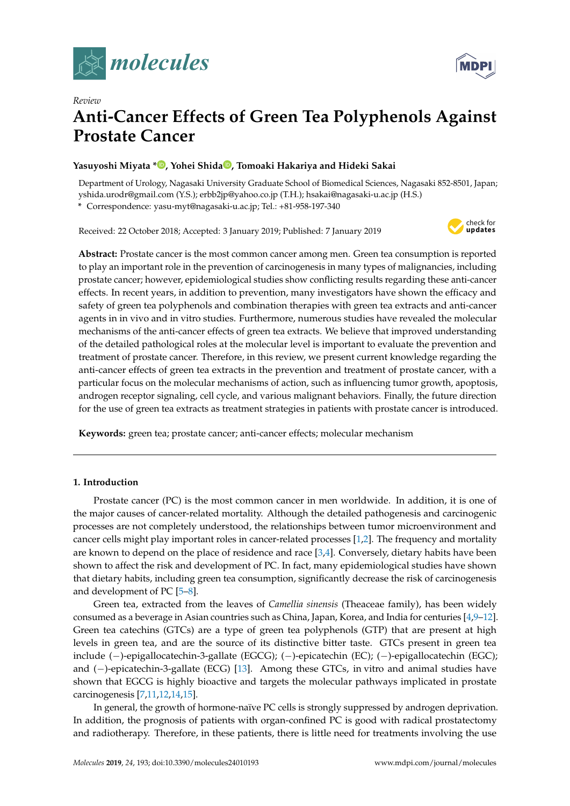



# *Review* **Anti-Cancer Effects of Green Tea Polyphenols Against Prostate Cancer**

# **Yasuyoshi Miyata [\\*](https://orcid.org/0000-0001-6272-6657) , Yohei Shida [,](https://orcid.org/0000-0002-7504-787X) Tomoaki Hakariya and Hideki Sakai**

Department of Urology, Nagasaki University Graduate School of Biomedical Sciences, Nagasaki 852-8501, Japan; yshida.urodr@gmail.com (Y.S.); erbb2jp@yahoo.co.jp (T.H.); hsakai@nagasaki-u.ac.jp (H.S.)

**\*** Correspondence: yasu-myt@nagasaki-u.ac.jp; Tel.: +81-958-197-340

Received: 22 October 2018; Accepted: 3 January 2019; Published: 7 January 2019



**Abstract:** Prostate cancer is the most common cancer among men. Green tea consumption is reported to play an important role in the prevention of carcinogenesis in many types of malignancies, including prostate cancer; however, epidemiological studies show conflicting results regarding these anti-cancer effects. In recent years, in addition to prevention, many investigators have shown the efficacy and safety of green tea polyphenols and combination therapies with green tea extracts and anti-cancer agents in in vivo and in vitro studies. Furthermore, numerous studies have revealed the molecular mechanisms of the anti-cancer effects of green tea extracts. We believe that improved understanding of the detailed pathological roles at the molecular level is important to evaluate the prevention and treatment of prostate cancer. Therefore, in this review, we present current knowledge regarding the anti-cancer effects of green tea extracts in the prevention and treatment of prostate cancer, with a particular focus on the molecular mechanisms of action, such as influencing tumor growth, apoptosis, androgen receptor signaling, cell cycle, and various malignant behaviors. Finally, the future direction for the use of green tea extracts as treatment strategies in patients with prostate cancer is introduced.

**Keywords:** green tea; prostate cancer; anti-cancer effects; molecular mechanism

# **1. Introduction**

Prostate cancer (PC) is the most common cancer in men worldwide. In addition, it is one of the major causes of cancer-related mortality. Although the detailed pathogenesis and carcinogenic processes are not completely understood, the relationships between tumor microenvironment and cancer cells might play important roles in cancer-related processes [\[1](#page-11-0)[,2\]](#page-11-1). The frequency and mortality are known to depend on the place of residence and race  $[3,4]$  $[3,4]$ . Conversely, dietary habits have been shown to affect the risk and development of PC. In fact, many epidemiological studies have shown that dietary habits, including green tea consumption, significantly decrease the risk of carcinogenesis and development of PC [\[5–](#page-11-4)[8\]](#page-11-5).

Green tea, extracted from the leaves of *Camellia sinensis* (Theaceae family), has been widely consumed as a beverage in Asian countries such as China, Japan, Korea, and India for centuries [\[4](#page-11-3)[,9–](#page-11-6)[12\]](#page-11-7). Green tea catechins (GTCs) are a type of green tea polyphenols (GTP) that are present at high levels in green tea, and are the source of its distinctive bitter taste. GTCs present in green tea include (−)-epigallocatechin-3-gallate (EGCG); (−)-epicatechin (EC); (−)-epigallocatechin (EGC); and (−)-epicatechin-3-gallate (ECG) [\[13\]](#page-12-0). Among these GTCs, in vitro and animal studies have shown that EGCG is highly bioactive and targets the molecular pathways implicated in prostate carcinogenesis [\[7](#page-11-8)[,11,](#page-11-9)[12,](#page-11-7)[14,](#page-12-1)[15\]](#page-12-2).

In general, the growth of hormone-naïve PC cells is strongly suppressed by androgen deprivation. In addition, the prognosis of patients with organ-confined PC is good with radical prostatectomy and radiotherapy. Therefore, in these patients, there is little need for treatments involving the use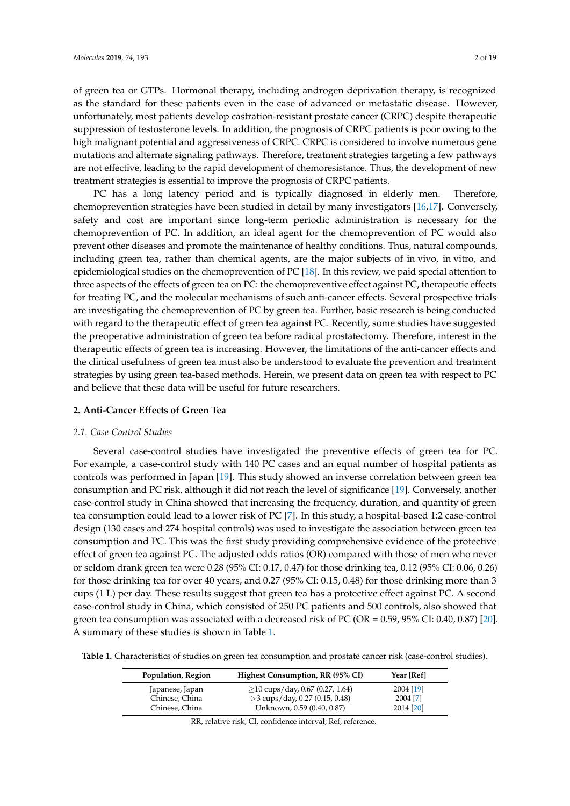of green tea or GTPs. Hormonal therapy, including androgen deprivation therapy, is recognized as the standard for these patients even in the case of advanced or metastatic disease. However, unfortunately, most patients develop castration-resistant prostate cancer (CRPC) despite therapeutic suppression of testosterone levels. In addition, the prognosis of CRPC patients is poor owing to the high malignant potential and aggressiveness of CRPC. CRPC is considered to involve numerous gene mutations and alternate signaling pathways. Therefore, treatment strategies targeting a few pathways are not effective, leading to the rapid development of chemoresistance. Thus, the development of new treatment strategies is essential to improve the prognosis of CRPC patients.

PC has a long latency period and is typically diagnosed in elderly men. Therefore, chemoprevention strategies have been studied in detail by many investigators [\[16,](#page-12-3)[17\]](#page-12-4). Conversely, safety and cost are important since long-term periodic administration is necessary for the chemoprevention of PC. In addition, an ideal agent for the chemoprevention of PC would also prevent other diseases and promote the maintenance of healthy conditions. Thus, natural compounds, including green tea, rather than chemical agents, are the major subjects of in vivo, in vitro, and epidemiological studies on the chemoprevention of PC [\[18\]](#page-12-5). In this review, we paid special attention to three aspects of the effects of green tea on PC: the chemopreventive effect against PC, therapeutic effects for treating PC, and the molecular mechanisms of such anti-cancer effects. Several prospective trials are investigating the chemoprevention of PC by green tea. Further, basic research is being conducted with regard to the therapeutic effect of green tea against PC. Recently, some studies have suggested the preoperative administration of green tea before radical prostatectomy. Therefore, interest in the therapeutic effects of green tea is increasing. However, the limitations of the anti-cancer effects and the clinical usefulness of green tea must also be understood to evaluate the prevention and treatment strategies by using green tea-based methods. Herein, we present data on green tea with respect to PC and believe that these data will be useful for future researchers.

# **2. Anti-Cancer Effects of Green Tea**

# *2.1. Case-Control Studies*

Several case-control studies have investigated the preventive effects of green tea for PC. For example, a case-control study with 140 PC cases and an equal number of hospital patients as controls was performed in Japan [\[19\]](#page-12-6). This study showed an inverse correlation between green tea consumption and PC risk, although it did not reach the level of significance [\[19\]](#page-12-6). Conversely, another case-control study in China showed that increasing the frequency, duration, and quantity of green tea consumption could lead to a lower risk of PC [\[7\]](#page-11-8). In this study, a hospital-based 1:2 case-control design (130 cases and 274 hospital controls) was used to investigate the association between green tea consumption and PC. This was the first study providing comprehensive evidence of the protective effect of green tea against PC. The adjusted odds ratios (OR) compared with those of men who never or seldom drank green tea were 0.28 (95% CI: 0.17, 0.47) for those drinking tea, 0.12 (95% CI: 0.06, 0.26) for those drinking tea for over 40 years, and 0.27 (95% CI: 0.15, 0.48) for those drinking more than 3 cups (1 L) per day. These results suggest that green tea has a protective effect against PC. A second case-control study in China, which consisted of 250 PC patients and 500 controls, also showed that green tea consumption was associated with a decreased risk of PC (OR = 0.59, 95% CI: 0.40, 0.87) [\[20\]](#page-12-7). A summary of these studies is shown in Table [1.](#page-1-0)

<span id="page-1-0"></span>**Table 1.** Characteristics of studies on green tea consumption and prostate cancer risk (case-control studies).

| Population, Region | Highest Consumption, RR (95% CI)   | Year [Ref] |
|--------------------|------------------------------------|------------|
| Japanese, Japan    | $>$ 10 cups/day, 0.67 (0.27, 1.64) | 2004 [19]  |
| Chinese, China     | >3 cups/day, 0.27 (0.15, 0.48)     | 2004 [7]   |
| Chinese, China     | Unknown, 0.59 (0.40, 0.87)         | 2014 [20]  |

RR, relative risk; CI, confidence interval; Ref, reference.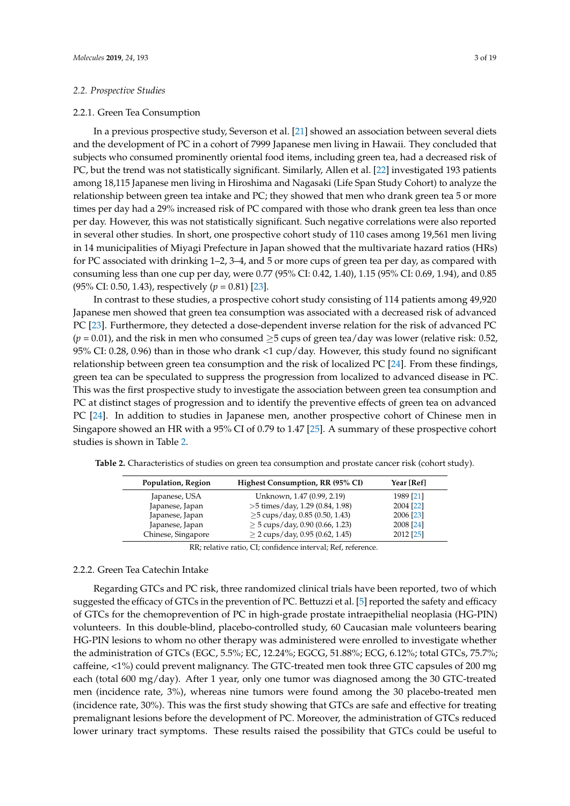# *2.2. Prospective Studies*

# 2.2.1. Green Tea Consumption

In a previous prospective study, Severson et al. [\[21\]](#page-12-8) showed an association between several diets and the development of PC in a cohort of 7999 Japanese men living in Hawaii. They concluded that subjects who consumed prominently oriental food items, including green tea, had a decreased risk of PC, but the trend was not statistically significant. Similarly, Allen et al. [\[22\]](#page-12-9) investigated 193 patients among 18,115 Japanese men living in Hiroshima and Nagasaki (Life Span Study Cohort) to analyze the relationship between green tea intake and PC; they showed that men who drank green tea 5 or more times per day had a 29% increased risk of PC compared with those who drank green tea less than once per day. However, this was not statistically significant. Such negative correlations were also reported in several other studies. In short, one prospective cohort study of 110 cases among 19,561 men living in 14 municipalities of Miyagi Prefecture in Japan showed that the multivariate hazard ratios (HRs) for PC associated with drinking 1–2, 3–4, and 5 or more cups of green tea per day, as compared with consuming less than one cup per day, were 0.77 (95% CI: 0.42, 1.40), 1.15 (95% CI: 0.69, 1.94), and 0.85 (95% CI: 0.50, 1.43), respectively (*p* = 0.81) [\[23\]](#page-12-10).

In contrast to these studies, a prospective cohort study consisting of 114 patients among 49,920 Japanese men showed that green tea consumption was associated with a decreased risk of advanced PC [\[23\]](#page-12-10). Furthermore, they detected a dose-dependent inverse relation for the risk of advanced PC  $(p = 0.01)$ , and the risk in men who consumed  $\geq 5$  cups of green tea/day was lower (relative risk: 0.52, 95% CI: 0.28, 0.96) than in those who drank <1 cup/day. However, this study found no significant relationship between green tea consumption and the risk of localized PC [\[24\]](#page-12-11). From these findings, green tea can be speculated to suppress the progression from localized to advanced disease in PC. This was the first prospective study to investigate the association between green tea consumption and PC at distinct stages of progression and to identify the preventive effects of green tea on advanced PC [\[24\]](#page-12-11). In addition to studies in Japanese men, another prospective cohort of Chinese men in Singapore showed an HR with a 95% CI of 0.79 to 1.47 [\[25\]](#page-12-12). A summary of these prospective cohort studies is shown in Table [2.](#page-2-0)

| Population, Region | Highest Consumption, RR (95% CI)     | Year [Ref] |
|--------------------|--------------------------------------|------------|
| Japanese, USA      | Unknown, 1.47 (0.99, 2.19)           | 1989 [21]  |
| Japanese, Japan    | $>5$ times/day, 1.29 (0.84, 1.98)    | 2004 [22]  |
| Japanese, Japan    | $\geq$ 5 cups/day, 0.85 (0.50, 1.43) | 2006 [23]  |
| Japanese, Japan    | $\geq$ 5 cups/day, 0.90 (0.66, 1.23) | 2008 [24]  |
| Chinese, Singapore | $>$ 2 cups/day, 0.95 (0.62, 1.45)    | 2012 [25]  |

<span id="page-2-0"></span>**Table 2.** Characteristics of studies on green tea consumption and prostate cancer risk (cohort study).

RR; relative ratio, CI; confidence interval; Ref, reference.

# 2.2.2. Green Tea Catechin Intake

Regarding GTCs and PC risk, three randomized clinical trials have been reported, two of which suggested the efficacy of GTCs in the prevention of PC. Bettuzzi et al. [\[5\]](#page-11-4) reported the safety and efficacy of GTCs for the chemoprevention of PC in high-grade prostate intraepithelial neoplasia (HG-PIN) volunteers. In this double-blind, placebo-controlled study, 60 Caucasian male volunteers bearing HG-PIN lesions to whom no other therapy was administered were enrolled to investigate whether the administration of GTCs (EGC, 5.5%; EC, 12.24%; EGCG, 51.88%; ECG, 6.12%; total GTCs, 75.7%; caffeine, <1%) could prevent malignancy. The GTC-treated men took three GTC capsules of 200 mg each (total 600 mg/day). After 1 year, only one tumor was diagnosed among the 30 GTC-treated men (incidence rate, 3%), whereas nine tumors were found among the 30 placebo-treated men (incidence rate, 30%). This was the first study showing that GTCs are safe and effective for treating premalignant lesions before the development of PC. Moreover, the administration of GTCs reduced lower urinary tract symptoms. These results raised the possibility that GTCs could be useful to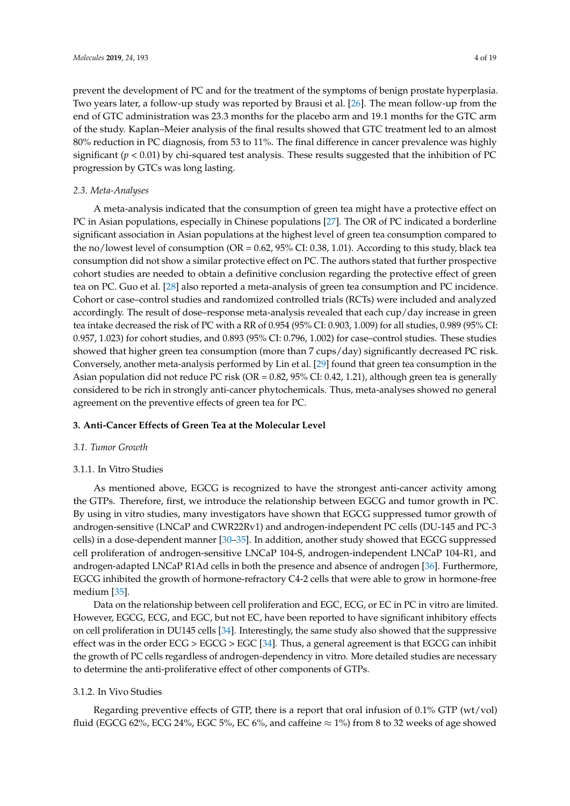prevent the development of PC and for the treatment of the symptoms of benign prostate hyperplasia. Two years later, a follow-up study was reported by Brausi et al. [\[26\]](#page-12-13). The mean follow-up from the end of GTC administration was 23.3 months for the placebo arm and 19.1 months for the GTC arm of the study. Kaplan–Meier analysis of the final results showed that GTC treatment led to an almost 80% reduction in PC diagnosis, from 53 to 11%. The final difference in cancer prevalence was highly significant (*p* < 0.01) by chi-squared test analysis. These results suggested that the inhibition of PC progression by GTCs was long lasting.

# *2.3. Meta-Analyses*

A meta-analysis indicated that the consumption of green tea might have a protective effect on PC in Asian populations, especially in Chinese populations [\[27\]](#page-12-14). The OR of PC indicated a borderline significant association in Asian populations at the highest level of green tea consumption compared to the no/lowest level of consumption (OR = 0.62, 95% CI: 0.38, 1.01). According to this study, black tea consumption did not show a similar protective effect on PC. The authors stated that further prospective cohort studies are needed to obtain a definitive conclusion regarding the protective effect of green tea on PC. Guo et al. [\[28\]](#page-12-15) also reported a meta-analysis of green tea consumption and PC incidence. Cohort or case–control studies and randomized controlled trials (RCTs) were included and analyzed accordingly. The result of dose–response meta-analysis revealed that each cup/day increase in green tea intake decreased the risk of PC with a RR of 0.954 (95% CI: 0.903, 1.009) for all studies, 0.989 (95% CI: 0.957, 1.023) for cohort studies, and 0.893 (95% CI: 0.796, 1.002) for case–control studies. These studies showed that higher green tea consumption (more than 7 cups/day) significantly decreased PC risk. Conversely, another meta-analysis performed by Lin et al. [\[29\]](#page-12-16) found that green tea consumption in the Asian population did not reduce PC risk (OR = 0.82, 95% CI: 0.42, 1.21), although green tea is generally considered to be rich in strongly anti-cancer phytochemicals. Thus, meta-analyses showed no general agreement on the preventive effects of green tea for PC.

# **3. Anti-Cancer Effects of Green Tea at the Molecular Level**

#### *3.1. Tumor Growth*

# 3.1.1. In Vitro Studies

As mentioned above, EGCG is recognized to have the strongest anti-cancer activity among the GTPs. Therefore, first, we introduce the relationship between EGCG and tumor growth in PC. By using in vitro studies, many investigators have shown that EGCG suppressed tumor growth of androgen-sensitive (LNCaP and CWR22Rv1) and androgen-independent PC cells (DU-145 and PC-3 cells) in a dose-dependent manner [\[30–](#page-12-17)[35\]](#page-13-0). In addition, another study showed that EGCG suppressed cell proliferation of androgen-sensitive LNCaP 104-S, androgen-independent LNCaP 104-R1, and androgen-adapted LNCaP R1Ad cells in both the presence and absence of androgen [\[36\]](#page-13-1). Furthermore, EGCG inhibited the growth of hormone-refractory C4-2 cells that were able to grow in hormone-free medium [\[35\]](#page-13-0).

Data on the relationship between cell proliferation and EGC, ECG, or EC in PC in vitro are limited. However, EGCG, ECG, and EGC, but not EC, have been reported to have significant inhibitory effects on cell proliferation in DU145 cells [\[34\]](#page-13-2). Interestingly, the same study also showed that the suppressive effect was in the order ECG > EGCG > EGC [\[34\]](#page-13-2). Thus, a general agreement is that EGCG can inhibit the growth of PC cells regardless of androgen-dependency in vitro. More detailed studies are necessary to determine the anti-proliferative effect of other components of GTPs.

# 3.1.2. In Vivo Studies

Regarding preventive effects of GTP, there is a report that oral infusion of 0.1% GTP (wt/vol) fluid (EGCG 62%, ECG 24%, EGC 5%, EC 6%, and caffeine  $\approx$  1%) from 8 to 32 weeks of age showed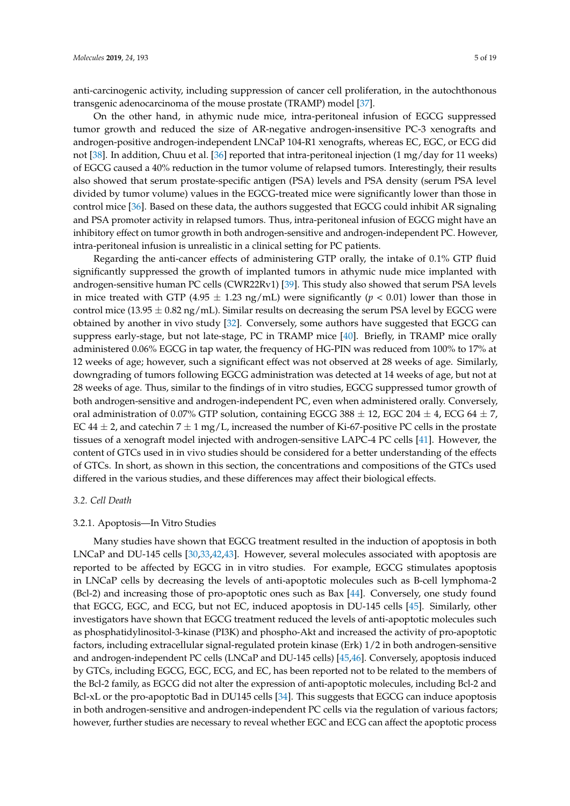anti-carcinogenic activity, including suppression of cancer cell proliferation, in the autochthonous transgenic adenocarcinoma of the mouse prostate (TRAMP) model [\[37\]](#page-13-3).

On the other hand, in athymic nude mice, intra-peritoneal infusion of EGCG suppressed tumor growth and reduced the size of AR-negative androgen-insensitive PC-3 xenografts and androgen-positive androgen-independent LNCaP 104-R1 xenografts, whereas EC, EGC, or ECG did not [\[38\]](#page-13-4). In addition, Chuu et al. [\[36\]](#page-13-1) reported that intra-peritoneal injection (1 mg/day for 11 weeks) of EGCG caused a 40% reduction in the tumor volume of relapsed tumors. Interestingly, their results also showed that serum prostate-specific antigen (PSA) levels and PSA density (serum PSA level divided by tumor volume) values in the EGCG-treated mice were significantly lower than those in control mice [\[36\]](#page-13-1). Based on these data, the authors suggested that EGCG could inhibit AR signaling and PSA promoter activity in relapsed tumors. Thus, intra-peritoneal infusion of EGCG might have an inhibitory effect on tumor growth in both androgen-sensitive and androgen-independent PC. However, intra-peritoneal infusion is unrealistic in a clinical setting for PC patients.

Regarding the anti-cancer effects of administering GTP orally, the intake of 0.1% GTP fluid significantly suppressed the growth of implanted tumors in athymic nude mice implanted with androgen-sensitive human PC cells (CWR22Rv1) [\[39\]](#page-13-5). This study also showed that serum PSA levels in mice treated with GTP (4.95  $\pm$  1.23 ng/mL) were significantly ( $p < 0.01$ ) lower than those in control mice (13.95  $\pm$  0.82 ng/mL). Similar results on decreasing the serum PSA level by EGCG were obtained by another in vivo study [\[32\]](#page-12-18). Conversely, some authors have suggested that EGCG can suppress early-stage, but not late-stage, PC in TRAMP mice [\[40\]](#page-13-6). Briefly, in TRAMP mice orally administered 0.06% EGCG in tap water, the frequency of HG-PIN was reduced from 100% to 17% at 12 weeks of age; however, such a significant effect was not observed at 28 weeks of age. Similarly, downgrading of tumors following EGCG administration was detected at 14 weeks of age, but not at 28 weeks of age. Thus, similar to the findings of in vitro studies, EGCG suppressed tumor growth of both androgen-sensitive and androgen-independent PC, even when administered orally. Conversely, oral administration of 0.07% GTP solution, containing EGCG 388  $\pm$  12, EGC 204  $\pm$  4, ECG 64  $\pm$  7, EC 44  $\pm$  2, and catechin 7  $\pm$  1 mg/L, increased the number of Ki-67-positive PC cells in the prostate tissues of a xenograft model injected with androgen-sensitive LAPC-4 PC cells [\[41\]](#page-13-7). However, the content of GTCs used in in vivo studies should be considered for a better understanding of the effects of GTCs. In short, as shown in this section, the concentrations and compositions of the GTCs used differed in the various studies, and these differences may affect their biological effects.

#### *3.2. Cell Death*

#### 3.2.1. Apoptosis—In Vitro Studies

Many studies have shown that EGCG treatment resulted in the induction of apoptosis in both LNCaP and DU-145 cells [\[30,](#page-12-17)[33,](#page-13-8)[42,](#page-13-9)[43\]](#page-13-10). However, several molecules associated with apoptosis are reported to be affected by EGCG in in vitro studies. For example, EGCG stimulates apoptosis in LNCaP cells by decreasing the levels of anti-apoptotic molecules such as B-cell lymphoma-2 (Bcl-2) and increasing those of pro-apoptotic ones such as Bax [\[44\]](#page-13-11). Conversely, one study found that EGCG, EGC, and ECG, but not EC, induced apoptosis in DU-145 cells [\[45\]](#page-13-12). Similarly, other investigators have shown that EGCG treatment reduced the levels of anti-apoptotic molecules such as phosphatidylinositol-3-kinase (PI3K) and phospho-Akt and increased the activity of pro-apoptotic factors, including extracellular signal-regulated protein kinase (Erk) 1/2 in both androgen-sensitive and androgen-independent PC cells (LNCaP and DU-145 cells) [\[45](#page-13-12)[,46\]](#page-13-13). Conversely, apoptosis induced by GTCs, including EGCG, EGC, ECG, and EC, has been reported not to be related to the members of the Bcl-2 family, as EGCG did not alter the expression of anti-apoptotic molecules, including Bcl-2 and Bcl-xL or the pro-apoptotic Bad in DU145 cells [\[34\]](#page-13-2). This suggests that EGCG can induce apoptosis in both androgen-sensitive and androgen-independent PC cells via the regulation of various factors; however, further studies are necessary to reveal whether EGC and ECG can affect the apoptotic process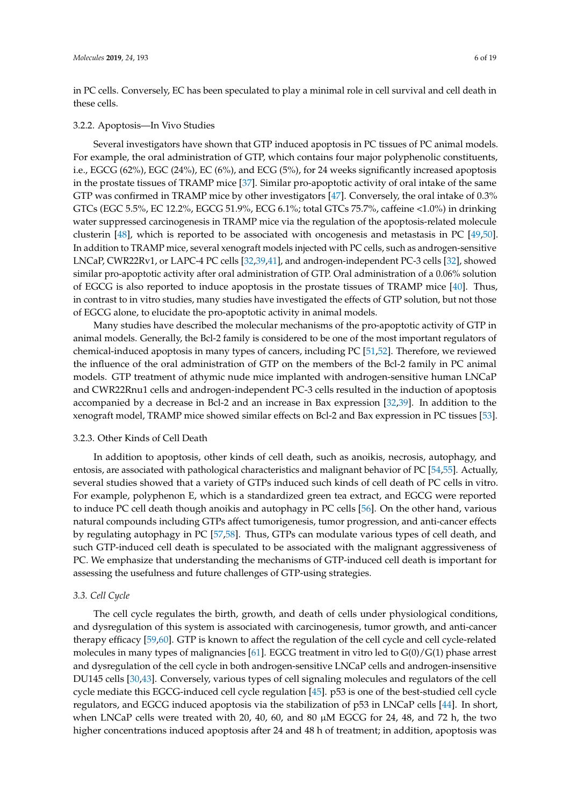in PC cells. Conversely, EC has been speculated to play a minimal role in cell survival and cell death in these cells.

# 3.2.2. Apoptosis—In Vivo Studies

Several investigators have shown that GTP induced apoptosis in PC tissues of PC animal models. For example, the oral administration of GTP, which contains four major polyphenolic constituents, i.e., EGCG (62%), EGC (24%), EC (6%), and ECG (5%), for 24 weeks significantly increased apoptosis in the prostate tissues of TRAMP mice [\[37\]](#page-13-3). Similar pro-apoptotic activity of oral intake of the same GTP was confirmed in TRAMP mice by other investigators [\[47\]](#page-13-14). Conversely, the oral intake of 0.3% GTCs (EGC 5.5%, EC 12.2%, EGCG 51.9%, ECG 6.1%; total GTCs 75.7%, caffeine <1.0%) in drinking water suppressed carcinogenesis in TRAMP mice via the regulation of the apoptosis-related molecule clusterin [\[48\]](#page-13-15), which is reported to be associated with oncogenesis and metastasis in PC [\[49,](#page-13-16)[50\]](#page-13-17). In addition to TRAMP mice, several xenograft models injected with PC cells, such as androgen-sensitive LNCaP, CWR22Rv1, or LAPC-4 PC cells [\[32](#page-12-18)[,39](#page-13-5)[,41\]](#page-13-7), and androgen-independent PC-3 cells [\[32\]](#page-12-18), showed similar pro-apoptotic activity after oral administration of GTP. Oral administration of a 0.06% solution of EGCG is also reported to induce apoptosis in the prostate tissues of TRAMP mice [\[40\]](#page-13-6). Thus, in contrast to in vitro studies, many studies have investigated the effects of GTP solution, but not those of EGCG alone, to elucidate the pro-apoptotic activity in animal models.

Many studies have described the molecular mechanisms of the pro-apoptotic activity of GTP in animal models. Generally, the Bcl-2 family is considered to be one of the most important regulators of chemical-induced apoptosis in many types of cancers, including PC [\[51](#page-13-18)[,52\]](#page-13-19). Therefore, we reviewed the influence of the oral administration of GTP on the members of the Bcl-2 family in PC animal models. GTP treatment of athymic nude mice implanted with androgen-sensitive human LNCaP and CWR22Rnu1 cells and androgen-independent PC-3 cells resulted in the induction of apoptosis accompanied by a decrease in Bcl-2 and an increase in Bax expression [\[32,](#page-12-18)[39\]](#page-13-5). In addition to the xenograft model, TRAMP mice showed similar effects on Bcl-2 and Bax expression in PC tissues [\[53\]](#page-14-0).

# 3.2.3. Other Kinds of Cell Death

In addition to apoptosis, other kinds of cell death, such as anoikis, necrosis, autophagy, and entosis, are associated with pathological characteristics and malignant behavior of PC [\[54,](#page-14-1)[55\]](#page-14-2). Actually, several studies showed that a variety of GTPs induced such kinds of cell death of PC cells in vitro. For example, polyphenon E, which is a standardized green tea extract, and EGCG were reported to induce PC cell death though anoikis and autophagy in PC cells [\[56\]](#page-14-3). On the other hand, various natural compounds including GTPs affect tumorigenesis, tumor progression, and anti-cancer effects by regulating autophagy in PC [\[57,](#page-14-4)[58\]](#page-14-5). Thus, GTPs can modulate various types of cell death, and such GTP-induced cell death is speculated to be associated with the malignant aggressiveness of PC. We emphasize that understanding the mechanisms of GTP-induced cell death is important for assessing the usefulness and future challenges of GTP-using strategies.

# *3.3. Cell Cycle*

The cell cycle regulates the birth, growth, and death of cells under physiological conditions, and dysregulation of this system is associated with carcinogenesis, tumor growth, and anti-cancer therapy efficacy [\[59](#page-14-6)[,60\]](#page-14-7). GTP is known to affect the regulation of the cell cycle and cell cycle-related molecules in many types of malignancies [\[61\]](#page-14-8). EGCG treatment in vitro led to G(0)/G(1) phase arrest and dysregulation of the cell cycle in both androgen-sensitive LNCaP cells and androgen-insensitive DU145 cells [\[30,](#page-12-17)[43\]](#page-13-10). Conversely, various types of cell signaling molecules and regulators of the cell cycle mediate this EGCG-induced cell cycle regulation [\[45\]](#page-13-12). p53 is one of the best-studied cell cycle regulators, and EGCG induced apoptosis via the stabilization of p53 in LNCaP cells [\[44\]](#page-13-11). In short, when LNCaP cells were treated with 20, 40, 60, and 80  $\mu$ M EGCG for 24, 48, and 72 h, the two higher concentrations induced apoptosis after 24 and 48 h of treatment; in addition, apoptosis was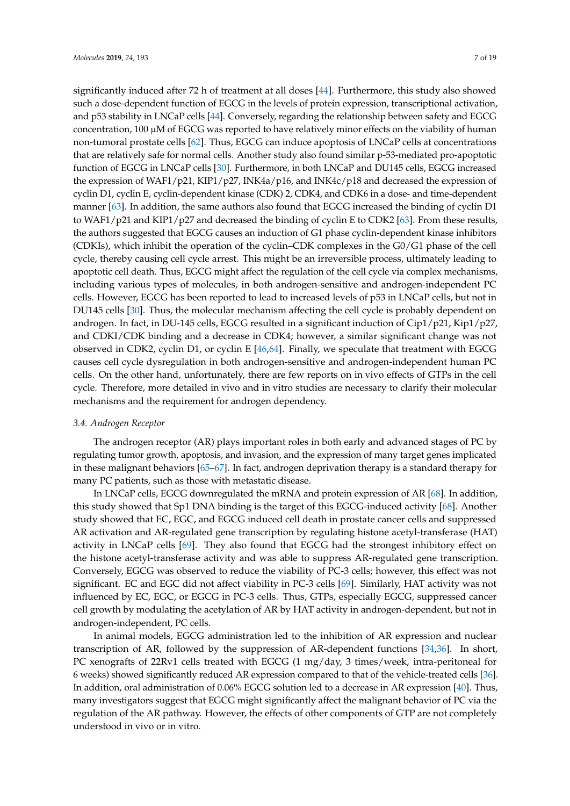significantly induced after 72 h of treatment at all doses [\[44\]](#page-13-11). Furthermore, this study also showed such a dose-dependent function of EGCG in the levels of protein expression, transcriptional activation, and p53 stability in LNCaP cells [\[44\]](#page-13-11). Conversely, regarding the relationship between safety and EGCG concentration,  $100 \mu M$  of EGCG was reported to have relatively minor effects on the viability of human non-tumoral prostate cells [\[62\]](#page-14-9). Thus, EGCG can induce apoptosis of LNCaP cells at concentrations that are relatively safe for normal cells. Another study also found similar p-53-mediated pro-apoptotic function of EGCG in LNCaP cells [\[30\]](#page-12-17). Furthermore, in both LNCaP and DU145 cells, EGCG increased the expression of WAF1/p21, KIP1/p27, INK4a/p16, and INK4c/p18 and decreased the expression of cyclin D1, cyclin E, cyclin-dependent kinase (CDK) 2, CDK4, and CDK6 in a dose- and time-dependent manner [\[63\]](#page-14-10). In addition, the same authors also found that EGCG increased the binding of cyclin D1 to WAF1/p21 and KIP1/p27 and decreased the binding of cyclin E to CDK2 [\[63\]](#page-14-10). From these results, the authors suggested that EGCG causes an induction of G1 phase cyclin-dependent kinase inhibitors (CDKIs), which inhibit the operation of the cyclin–CDK complexes in the G0/G1 phase of the cell cycle, thereby causing cell cycle arrest. This might be an irreversible process, ultimately leading to apoptotic cell death. Thus, EGCG might affect the regulation of the cell cycle via complex mechanisms, including various types of molecules, in both androgen-sensitive and androgen-independent PC cells. However, EGCG has been reported to lead to increased levels of p53 in LNCaP cells, but not in DU145 cells [\[30\]](#page-12-17). Thus, the molecular mechanism affecting the cell cycle is probably dependent on androgen. In fact, in DU-145 cells, EGCG resulted in a significant induction of Cip1/p21, Kip1/p27, and CDKI/CDK binding and a decrease in CDK4; however, a similar significant change was not observed in CDK2, cyclin D1, or cyclin E [\[46,](#page-13-13)[64\]](#page-14-11). Finally, we speculate that treatment with EGCG causes cell cycle dysregulation in both androgen-sensitive and androgen-independent human PC cells. On the other hand, unfortunately, there are few reports on in vivo effects of GTPs in the cell cycle. Therefore, more detailed in vivo and in vitro studies are necessary to clarify their molecular mechanisms and the requirement for androgen dependency.

# *3.4. Androgen Receptor*

The androgen receptor (AR) plays important roles in both early and advanced stages of PC by regulating tumor growth, apoptosis, and invasion, and the expression of many target genes implicated in these malignant behaviors [\[65](#page-14-12)[–67\]](#page-14-13). In fact, androgen deprivation therapy is a standard therapy for many PC patients, such as those with metastatic disease.

In LNCaP cells, EGCG downregulated the mRNA and protein expression of AR [\[68\]](#page-14-14). In addition, this study showed that Sp1 DNA binding is the target of this EGCG-induced activity [\[68\]](#page-14-14). Another study showed that EC, EGC, and EGCG induced cell death in prostate cancer cells and suppressed AR activation and AR-regulated gene transcription by regulating histone acetyl-transferase (HAT) activity in LNCaP cells [\[69\]](#page-14-15). They also found that EGCG had the strongest inhibitory effect on the histone acetyl-transferase activity and was able to suppress AR-regulated gene transcription. Conversely, EGCG was observed to reduce the viability of PC-3 cells; however, this effect was not significant. EC and EGC did not affect viability in PC-3 cells [\[69\]](#page-14-15). Similarly, HAT activity was not influenced by EC, EGC, or EGCG in PC-3 cells. Thus, GTPs, especially EGCG, suppressed cancer cell growth by modulating the acetylation of AR by HAT activity in androgen-dependent, but not in androgen-independent, PC cells.

In animal models, EGCG administration led to the inhibition of AR expression and nuclear transcription of AR, followed by the suppression of AR-dependent functions [\[34](#page-13-2)[,36\]](#page-13-1). In short, PC xenografts of 22Rv1 cells treated with EGCG (1 mg/day, 3 times/week, intra-peritoneal for 6 weeks) showed significantly reduced AR expression compared to that of the vehicle-treated cells [\[36\]](#page-13-1). In addition, oral administration of 0.06% EGCG solution led to a decrease in AR expression [\[40\]](#page-13-6). Thus, many investigators suggest that EGCG might significantly affect the malignant behavior of PC via the regulation of the AR pathway. However, the effects of other components of GTP are not completely understood in vivo or in vitro.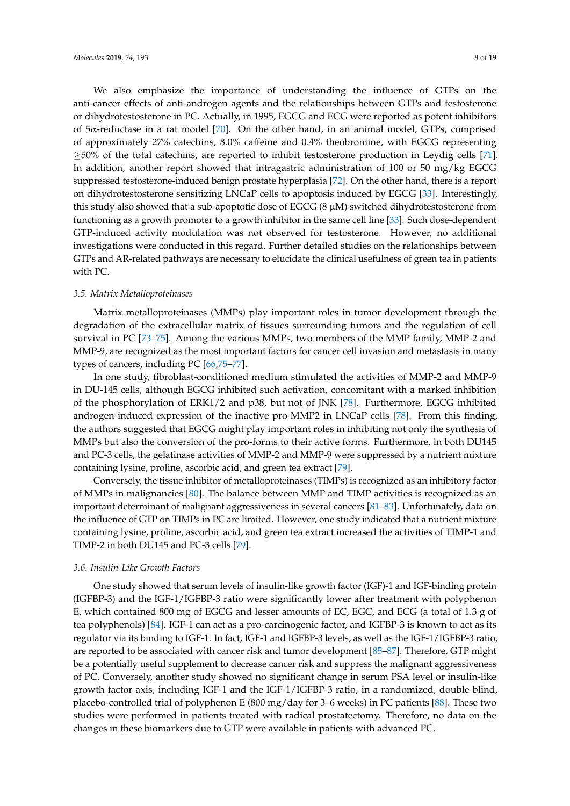We also emphasize the importance of understanding the influence of GTPs on the anti-cancer effects of anti-androgen agents and the relationships between GTPs and testosterone or dihydrotestosterone in PC. Actually, in 1995, EGCG and ECG were reported as potent inhibitors of 5α-reductase in a rat model [\[70\]](#page-14-16). On the other hand, in an animal model, GTPs, comprised of approximately 27% catechins, 8.0% caffeine and 0.4% theobromine, with EGCG representing  $\geq$ 50% of the total catechins, are reported to inhibit testosterone production in Leydig cells [\[71\]](#page-14-17). In addition, another report showed that intragastric administration of 100 or 50 mg/kg EGCG suppressed testosterone-induced benign prostate hyperplasia [\[72\]](#page-15-0). On the other hand, there is a report on dihydrotestosterone sensitizing LNCaP cells to apoptosis induced by EGCG [\[33\]](#page-13-8). Interestingly, this study also showed that a sub-apoptotic dose of EGCG  $(8 \mu M)$  switched dihydrotestosterone from functioning as a growth promoter to a growth inhibitor in the same cell line [\[33\]](#page-13-8). Such dose-dependent GTP-induced activity modulation was not observed for testosterone. However, no additional investigations were conducted in this regard. Further detailed studies on the relationships between GTPs and AR-related pathways are necessary to elucidate the clinical usefulness of green tea in patients with PC.

#### *3.5. Matrix Metalloproteinases*

Matrix metalloproteinases (MMPs) play important roles in tumor development through the degradation of the extracellular matrix of tissues surrounding tumors and the regulation of cell survival in PC [\[73–](#page-15-1)[75\]](#page-15-2). Among the various MMPs, two members of the MMP family, MMP-2 and MMP-9, are recognized as the most important factors for cancer cell invasion and metastasis in many types of cancers, including PC [\[66](#page-14-18)[,75–](#page-15-2)[77\]](#page-15-3).

In one study, fibroblast-conditioned medium stimulated the activities of MMP-2 and MMP-9 in DU-145 cells, although EGCG inhibited such activation, concomitant with a marked inhibition of the phosphorylation of ERK1/2 and p38, but not of JNK [\[78\]](#page-15-4). Furthermore, EGCG inhibited androgen-induced expression of the inactive pro-MMP2 in LNCaP cells [\[78\]](#page-15-4). From this finding, the authors suggested that EGCG might play important roles in inhibiting not only the synthesis of MMPs but also the conversion of the pro-forms to their active forms. Furthermore, in both DU145 and PC-3 cells, the gelatinase activities of MMP-2 and MMP-9 were suppressed by a nutrient mixture containing lysine, proline, ascorbic acid, and green tea extract [\[79\]](#page-15-5).

Conversely, the tissue inhibitor of metalloproteinases (TIMPs) is recognized as an inhibitory factor of MMPs in malignancies [\[80\]](#page-15-6). The balance between MMP and TIMP activities is recognized as an important determinant of malignant aggressiveness in several cancers [\[81](#page-15-7)[–83\]](#page-15-8). Unfortunately, data on the influence of GTP on TIMPs in PC are limited. However, one study indicated that a nutrient mixture containing lysine, proline, ascorbic acid, and green tea extract increased the activities of TIMP-1 and TIMP-2 in both DU145 and PC-3 cells [\[79\]](#page-15-5).

#### *3.6. Insulin-Like Growth Factors*

One study showed that serum levels of insulin-like growth factor (IGF)-1 and IGF-binding protein (IGFBP-3) and the IGF-1/IGFBP-3 ratio were significantly lower after treatment with polyphenon E, which contained 800 mg of EGCG and lesser amounts of EC, EGC, and ECG (a total of 1.3 g of tea polyphenols) [\[84\]](#page-15-9). IGF-1 can act as a pro-carcinogenic factor, and IGFBP-3 is known to act as its regulator via its binding to IGF-1. In fact, IGF-1 and IGFBP-3 levels, as well as the IGF-1/IGFBP-3 ratio, are reported to be associated with cancer risk and tumor development [\[85](#page-15-10)[–87\]](#page-15-11). Therefore, GTP might be a potentially useful supplement to decrease cancer risk and suppress the malignant aggressiveness of PC. Conversely, another study showed no significant change in serum PSA level or insulin-like growth factor axis, including IGF-1 and the IGF-1/IGFBP-3 ratio, in a randomized, double-blind, placebo-controlled trial of polyphenon E (800 mg/day for 3–6 weeks) in PC patients [\[88\]](#page-15-12). These two studies were performed in patients treated with radical prostatectomy. Therefore, no data on the changes in these biomarkers due to GTP were available in patients with advanced PC.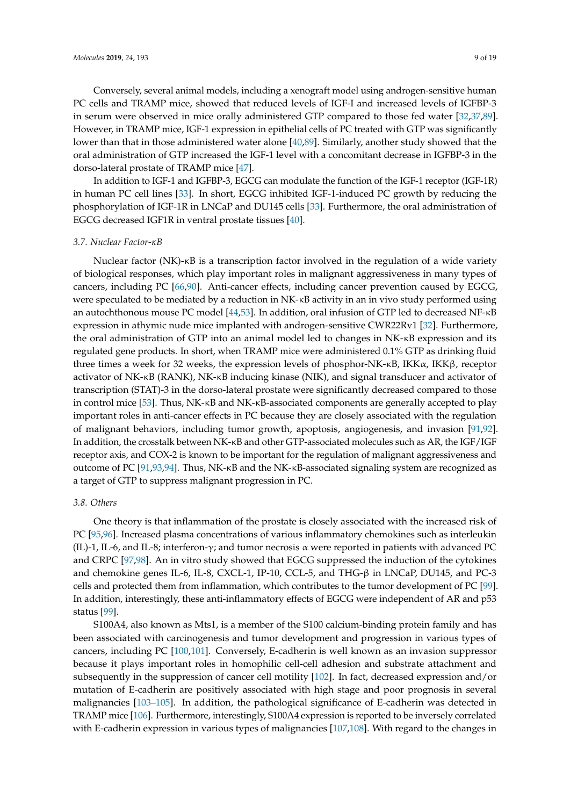Conversely, several animal models, including a xenograft model using androgen-sensitive human PC cells and TRAMP mice, showed that reduced levels of IGF-I and increased levels of IGFBP-3 in serum were observed in mice orally administered GTP compared to those fed water [\[32,](#page-12-18)[37,](#page-13-3)[89\]](#page-15-13). However, in TRAMP mice, IGF-1 expression in epithelial cells of PC treated with GTP was significantly lower than that in those administered water alone [\[40,](#page-13-6)[89\]](#page-15-13). Similarly, another study showed that the oral administration of GTP increased the IGF-1 level with a concomitant decrease in IGFBP-3 in the dorso-lateral prostate of TRAMP mice [\[47\]](#page-13-14).

In addition to IGF-1 and IGFBP-3, EGCG can modulate the function of the IGF-1 receptor (IGF-1R) in human PC cell lines [\[33\]](#page-13-8). In short, EGCG inhibited IGF-1-induced PC growth by reducing the phosphorylation of IGF-1R in LNCaP and DU145 cells [\[33\]](#page-13-8). Furthermore, the oral administration of EGCG decreased IGF1R in ventral prostate tissues [\[40\]](#page-13-6).

#### *3.7. Nuclear Factor-κB*

Nuclear factor (NK)-κB is a transcription factor involved in the regulation of a wide variety of biological responses, which play important roles in malignant aggressiveness in many types of cancers, including PC [\[66](#page-14-18)[,90\]](#page-16-0). Anti-cancer effects, including cancer prevention caused by EGCG, were speculated to be mediated by a reduction in NK-κB activity in an in vivo study performed using an autochthonous mouse PC model [\[44,](#page-13-11)[53\]](#page-14-0). In addition, oral infusion of GTP led to decreased NF-κB expression in athymic nude mice implanted with androgen-sensitive CWR22Rv1 [\[32\]](#page-12-18). Furthermore, the oral administration of GTP into an animal model led to changes in NK-κB expression and its regulated gene products. In short, when TRAMP mice were administered 0.1% GTP as drinking fluid three times a week for 32 weeks, the expression levels of phosphor-NK- $\kappa$ B, IKK $\alpha$ , IKK $\beta$ , receptor activator of NK-κB (RANK), NK-κB inducing kinase (NIK), and signal transducer and activator of transcription (STAT)-3 in the dorso-lateral prostate were significantly decreased compared to those in control mice [\[53\]](#page-14-0). Thus, NK-κB and NK-κB-associated components are generally accepted to play important roles in anti-cancer effects in PC because they are closely associated with the regulation of malignant behaviors, including tumor growth, apoptosis, angiogenesis, and invasion [\[91,](#page-16-1)[92\]](#page-16-2). In addition, the crosstalk between NK-κB and other GTP-associated molecules such as AR, the IGF/IGF receptor axis, and COX-2 is known to be important for the regulation of malignant aggressiveness and outcome of PC [\[91](#page-16-1)[,93](#page-16-3)[,94\]](#page-16-4). Thus, NK-κB and the NK-κB-associated signaling system are recognized as a target of GTP to suppress malignant progression in PC.

# *3.8. Others*

One theory is that inflammation of the prostate is closely associated with the increased risk of PC [\[95](#page-16-5)[,96\]](#page-16-6). Increased plasma concentrations of various inflammatory chemokines such as interleukin (IL)-1, IL-6, and IL-8; interferon- $\gamma$ ; and tumor necrosis  $\alpha$  were reported in patients with advanced PC and CRPC [\[97](#page-16-7)[,98\]](#page-16-8). An in vitro study showed that EGCG suppressed the induction of the cytokines and chemokine genes IL-6, IL-8, CXCL-1, IP-10, CCL-5, and THG-β in LNCaP, DU145, and PC-3 cells and protected them from inflammation, which contributes to the tumor development of PC [\[99\]](#page-16-9). In addition, interestingly, these anti-inflammatory effects of EGCG were independent of AR and p53 status [\[99\]](#page-16-9).

S100A4, also known as Mts1, is a member of the S100 calcium-binding protein family and has been associated with carcinogenesis and tumor development and progression in various types of cancers, including PC [\[100](#page-16-10)[,101\]](#page-16-11). Conversely, E-cadherin is well known as an invasion suppressor because it plays important roles in homophilic cell-cell adhesion and substrate attachment and subsequently in the suppression of cancer cell motility [\[102\]](#page-16-12). In fact, decreased expression and/or mutation of E-cadherin are positively associated with high stage and poor prognosis in several malignancies [\[103–](#page-16-13)[105\]](#page-16-14). In addition, the pathological significance of E-cadherin was detected in TRAMP mice [\[106\]](#page-16-15). Furthermore, interestingly, S100A4 expression is reported to be inversely correlated with E-cadherin expression in various types of malignancies [\[107,](#page-16-16)[108\]](#page-16-17). With regard to the changes in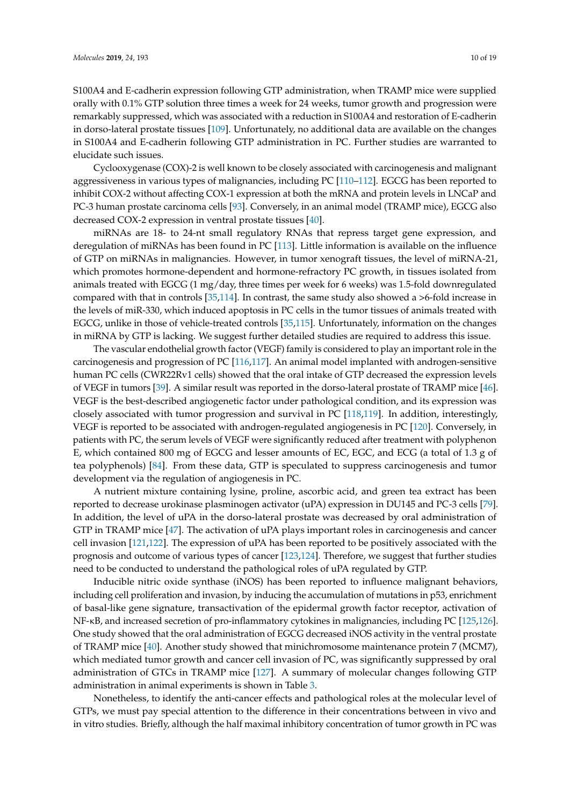S100A4 and E-cadherin expression following GTP administration, when TRAMP mice were supplied orally with 0.1% GTP solution three times a week for 24 weeks, tumor growth and progression were remarkably suppressed, which was associated with a reduction in S100A4 and restoration of E-cadherin in dorso-lateral prostate tissues [\[109\]](#page-16-18). Unfortunately, no additional data are available on the changes in S100A4 and E-cadherin following GTP administration in PC. Further studies are warranted to elucidate such issues.

Cyclooxygenase (COX)-2 is well known to be closely associated with carcinogenesis and malignant aggressiveness in various types of malignancies, including PC [\[110](#page-16-19)[–112\]](#page-17-0). EGCG has been reported to inhibit COX-2 without affecting COX-1 expression at both the mRNA and protein levels in LNCaP and PC-3 human prostate carcinoma cells [\[93\]](#page-16-3). Conversely, in an animal model (TRAMP mice), EGCG also decreased COX-2 expression in ventral prostate tissues [\[40\]](#page-13-6).

miRNAs are 18- to 24-nt small regulatory RNAs that repress target gene expression, and deregulation of miRNAs has been found in PC [\[113\]](#page-17-1). Little information is available on the influence of GTP on miRNAs in malignancies. However, in tumor xenograft tissues, the level of miRNA-21, which promotes hormone-dependent and hormone-refractory PC growth, in tissues isolated from animals treated with EGCG (1 mg/day, three times per week for 6 weeks) was 1.5-fold downregulated compared with that in controls [\[35,](#page-13-0)[114\]](#page-17-2). In contrast, the same study also showed a >6-fold increase in the levels of miR-330, which induced apoptosis in PC cells in the tumor tissues of animals treated with EGCG, unlike in those of vehicle-treated controls [\[35](#page-13-0)[,115\]](#page-17-3). Unfortunately, information on the changes in miRNA by GTP is lacking. We suggest further detailed studies are required to address this issue.

The vascular endothelial growth factor (VEGF) family is considered to play an important role in the carcinogenesis and progression of PC [\[116](#page-17-4)[,117\]](#page-17-5). An animal model implanted with androgen-sensitive human PC cells (CWR22Rv1 cells) showed that the oral intake of GTP decreased the expression levels of VEGF in tumors [\[39\]](#page-13-5). A similar result was reported in the dorso-lateral prostate of TRAMP mice [\[46\]](#page-13-13). VEGF is the best-described angiogenetic factor under pathological condition, and its expression was closely associated with tumor progression and survival in PC [\[118](#page-17-6)[,119\]](#page-17-7). In addition, interestingly, VEGF is reported to be associated with androgen-regulated angiogenesis in PC [\[120\]](#page-17-8). Conversely, in patients with PC, the serum levels of VEGF were significantly reduced after treatment with polyphenon E, which contained 800 mg of EGCG and lesser amounts of EC, EGC, and ECG (a total of 1.3 g of tea polyphenols) [\[84\]](#page-15-9). From these data, GTP is speculated to suppress carcinogenesis and tumor development via the regulation of angiogenesis in PC.

A nutrient mixture containing lysine, proline, ascorbic acid, and green tea extract has been reported to decrease urokinase plasminogen activator (uPA) expression in DU145 and PC-3 cells [\[79\]](#page-15-5). In addition, the level of uPA in the dorso-lateral prostate was decreased by oral administration of GTP in TRAMP mice [\[47\]](#page-13-14). The activation of uPA plays important roles in carcinogenesis and cancer cell invasion [\[121](#page-17-9)[,122\]](#page-17-10). The expression of uPA has been reported to be positively associated with the prognosis and outcome of various types of cancer [\[123,](#page-17-11)[124\]](#page-17-12). Therefore, we suggest that further studies need to be conducted to understand the pathological roles of uPA regulated by GTP.

Inducible nitric oxide synthase (iNOS) has been reported to influence malignant behaviors, including cell proliferation and invasion, by inducing the accumulation of mutations in p53, enrichment of basal-like gene signature, transactivation of the epidermal growth factor receptor, activation of NF-κB, and increased secretion of pro-inflammatory cytokines in malignancies, including PC [\[125](#page-17-13)[,126\]](#page-17-14). One study showed that the oral administration of EGCG decreased iNOS activity in the ventral prostate of TRAMP mice [\[40\]](#page-13-6). Another study showed that minichromosome maintenance protein 7 (MCM7), which mediated tumor growth and cancer cell invasion of PC, was significantly suppressed by oral administration of GTCs in TRAMP mice [\[127\]](#page-17-15). A summary of molecular changes following GTP administration in animal experiments is shown in Table [3.](#page-10-0)

Nonetheless, to identify the anti-cancer effects and pathological roles at the molecular level of GTPs, we must pay special attention to the difference in their concentrations between in vivo and in vitro studies. Briefly, although the half maximal inhibitory concentration of tumor growth in PC was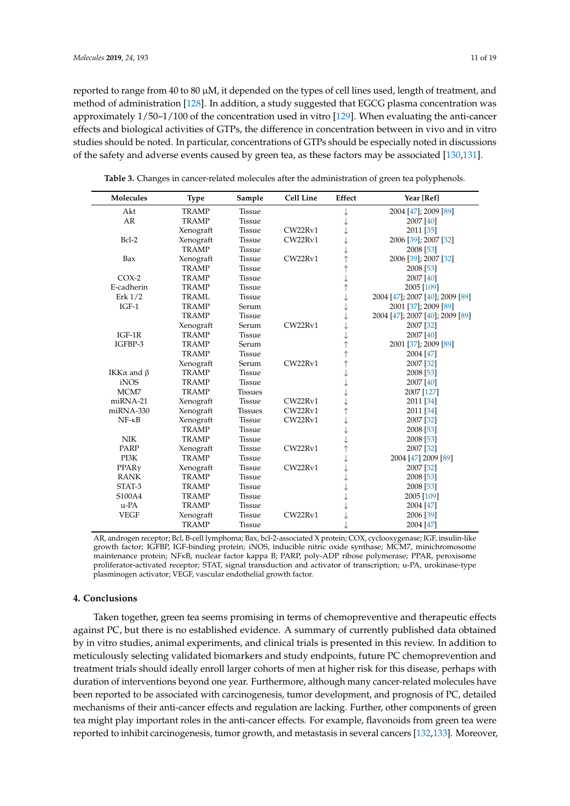reported to range from 40 to 80  $\mu$ M, it depended on the types of cell lines used, length of treatment, and method of administration [\[128\]](#page-17-16). In addition, a study suggested that EGCG plasma concentration was approximately 1/50–1/100 of the concentration used in vitro [\[129\]](#page-18-0). When evaluating the anti-cancer effects and biological activities of GTPs, the difference in concentration between in vivo and in vitro studies should be noted. In particular, concentrations of GTPs should be especially noted in discussions

| Molecules                | <b>Type</b>  | Sample         | Cell Line | Effect     | Year [Ref]                      |
|--------------------------|--------------|----------------|-----------|------------|---------------------------------|
| Akt                      | <b>TRAMP</b> | Tissue         |           |            | 2004 [47]; 2009 [89]            |
| AR                       | <b>TRAMP</b> | <b>Tissue</b>  |           |            | 2007 [40]                       |
|                          | Xenograft    | <b>Tissue</b>  | CW22Rv1   |            | 2011 [35]                       |
| Bcl-2                    | Xenograft    | Tissue         | CW22Rv1   |            | 2006 [39]; 2007 [32]            |
|                          | <b>TRAMP</b> | <b>Tissue</b>  |           |            | 2008 [53]                       |
| Bax                      | Xenograft    | <b>Tissue</b>  | CW22Rv1   | $\uparrow$ | 2006 [39]; 2007 [32]            |
|                          | <b>TRAMP</b> | Tissue         |           | ↑          | 2008 [53]                       |
| $COX-2$                  | <b>TRAMP</b> | <b>Tissue</b>  |           | ↓          | 2007 [40]                       |
| E-cadherin               | <b>TRAMP</b> | <b>Tissue</b>  |           | $\uparrow$ | 2005 [109]                      |
| Erk $1/2$                | <b>TRAML</b> | <b>Tissue</b>  |           | ↓          | 2004 [47]; 2007 [40]; 2009 [89] |
| $IGF-1$                  | <b>TRAMP</b> | Serum          |           |            | 2001 [37]; 2009 [89]            |
|                          | <b>TRAMP</b> | Tissue         |           |            | 2004 [47]; 2007 [40]; 2009 [89] |
|                          | Xenograft    | Serum          | CW22Rv1   |            | 2007 [32]                       |
| $IGF-1R$                 | <b>TRAMP</b> | Tissue         |           |            | 2007 [40]                       |
| IGFBP-3                  | <b>TRAMP</b> | Serum          |           | $\uparrow$ | 2001 [37]; 2009 [89]            |
|                          | <b>TRAMP</b> | <b>Tissue</b>  |           | ↑          | 2004 [47]                       |
|                          | Xenograft    | Serum          | CW22Rv1   | $\uparrow$ | 2007 [32]                       |
| IKK $\alpha$ and $\beta$ | <b>TRAMP</b> | Tissue         |           | ↓          | 2008 [53]                       |
| <i>iNOS</i>              | <b>TRAMP</b> | <b>Tissue</b>  |           |            | 2007 [40]                       |
| MCM7                     | <b>TRAMP</b> | <b>Tissues</b> |           |            | 2007 [127]                      |
| miRNA-21                 | Xenograft    | Tissue         | CW22Rv1   |            | 2011 [34]                       |
| miRNA-330                | Xenograft    | <b>Tissues</b> | CW22Rv1   |            | 2011 [34]                       |
| $NF - \kappa B$          | Xenograft    | <b>Tissue</b>  | CW22Rv1   |            | 2007 [32]                       |
|                          | <b>TRAMP</b> | <b>Tissue</b>  |           |            | 2008 [53]                       |
| <b>NIK</b>               | <b>TRAMP</b> | <b>Tissue</b>  |           |            | 2008 [53]                       |
| PARP                     | Xenograft    | <b>Tissue</b>  | CW22Rv1   | $\uparrow$ | 2007 [32]                       |
| PI3K                     | <b>TRAMP</b> | <b>Tissue</b>  |           |            | 2004 [47] 2009 [89]             |
| PPAR <sub>Y</sub>        | Xenograft    | <b>Tissue</b>  | CW22Rv1   |            | 2007 [32]                       |
| <b>RANK</b>              | <b>TRAMP</b> | <b>Tissue</b>  |           |            | 2008 [53]                       |
| STAT-3                   | TRAMP        | <b>Tissue</b>  |           |            | 2008 [53]                       |
| S100A4                   | <b>TRAMP</b> | <b>Tissue</b>  |           |            | 2005 [109]                      |
| u-PA                     | <b>TRAMP</b> | <b>Tissue</b>  |           |            | 2004 [47]                       |
| <b>VEGF</b>              | Xenograft    | <b>Tissue</b>  | CW22Rv1   |            | 2006 [39]                       |
|                          | <b>TRAMP</b> | <b>Tissue</b>  |           |            | 2004 [47]                       |

**Table 3.** Changes in cancer-related molecules after the administration of green tea polyphenols.

<span id="page-10-0"></span>of the safety and adverse events caused by green tea, as these factors may be associated [\[130,](#page-18-1)[131\]](#page-18-2).

AR, androgen receptor; Bcl, B-cell lymphoma; Bax, bcl-2-associated X protein; COX, cyclooxygenase; IGF, insulin-like growth factor; IGFBP, IGF-binding protein; iNOS, inducible nitric oxide synthase; MCM7, minichromosome maintenance protein; NFκB, nuclear factor kappa B; PARP, poly-ADP ribose polymerase; PPAR, peroxisome proliferator-activated receptor; STAT, signal transduction and activator of transcription; u-PA, urokinase-type plasminogen activator; VEGF, vascular endothelial growth factor.

#### **4. Conclusions**

Taken together, green tea seems promising in terms of chemopreventive and therapeutic effects against PC, but there is no established evidence. A summary of currently published data obtained by in vitro studies, animal experiments, and clinical trials is presented in this review. In addition to meticulously selecting validated biomarkers and study endpoints, future PC chemoprevention and treatment trials should ideally enroll larger cohorts of men at higher risk for this disease, perhaps with duration of interventions beyond one year. Furthermore, although many cancer-related molecules have been reported to be associated with carcinogenesis, tumor development, and prognosis of PC, detailed mechanisms of their anti-cancer effects and regulation are lacking. Further, other components of green tea might play important roles in the anti-cancer effects. For example, flavonoids from green tea were reported to inhibit carcinogenesis, tumor growth, and metastasis in several cancers [\[132](#page-18-3)[,133\]](#page-18-4). Moreover,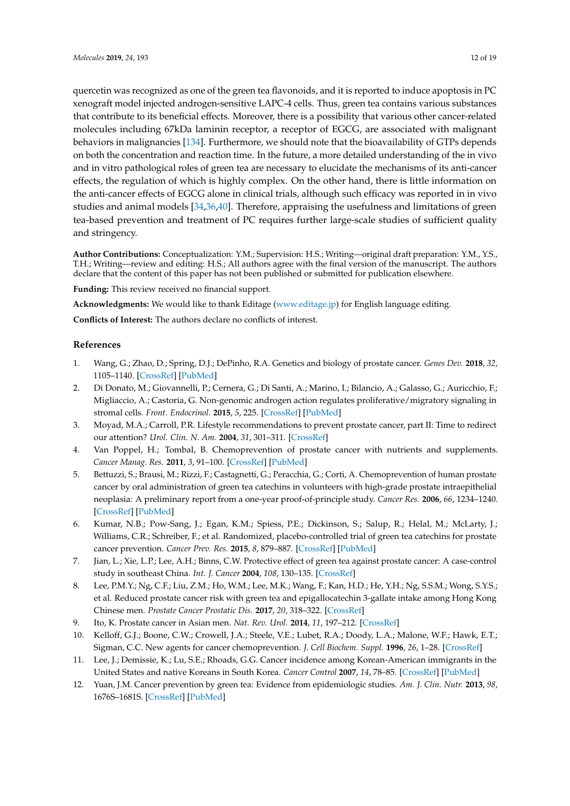quercetin was recognized as one of the green tea flavonoids, and it is reported to induce apoptosis in PC xenograft model injected androgen-sensitive LAPC-4 cells. Thus, green tea contains various substances that contribute to its beneficial effects. Moreover, there is a possibility that various other cancer-related molecules including 67kDa laminin receptor, a receptor of EGCG, are associated with malignant behaviors in malignancies [\[134\]](#page-18-5). Furthermore, we should note that the bioavailability of GTPs depends on both the concentration and reaction time. In the future, a more detailed understanding of the in vivo and in vitro pathological roles of green tea are necessary to elucidate the mechanisms of its anti-cancer effects, the regulation of which is highly complex. On the other hand, there is little information on the anti-cancer effects of EGCG alone in clinical trials, although such efficacy was reported in in vivo

studies and animal models [\[34](#page-13-2)[,36](#page-13-1)[,40\]](#page-13-6). Therefore, appraising the usefulness and limitations of green tea-based prevention and treatment of PC requires further large-scale studies of sufficient quality and stringency.

**Author Contributions:** Conceptualization: Y.M.; Supervision: H.S.; Writing—original draft preparation: Y.M., Y.S., T.H.; Writing—review and editing: H.S.; All authors agree with the final version of the manuscript. The authors declare that the content of this paper has not been published or submitted for publication elsewhere.

**Funding:** This review received no financial support.

**Acknowledgments:** We would like to thank Editage [\(www.editage.jp\)](www.editage.jp) for English language editing.

**Conflicts of Interest:** The authors declare no conflicts of interest.

# **References**

- <span id="page-11-0"></span>1. Wang, G.; Zhao, D.; Spring, D.J.; DePinho, R.A. Genetics and biology of prostate cancer. *Genes Dev.* **2018**, *32*, 1105–1140. [\[CrossRef\]](http://dx.doi.org/10.1101/gad.315739.118) [\[PubMed\]](http://www.ncbi.nlm.nih.gov/pubmed/30181359)
- <span id="page-11-1"></span>2. Di Donato, M.; Giovannelli, P.; Cernera, G.; Di Santi, A.; Marino, I.; Bilancio, A.; Galasso, G.; Auricchio, F.; Migliaccio, A.; Castoria, G. Non-genomic androgen action regulates proliferative/migratory signaling in stromal cells. *Front. Endocrinol.* **2015**, *5*, 225. [\[CrossRef\]](http://dx.doi.org/10.3389/fendo.2014.00225) [\[PubMed\]](http://www.ncbi.nlm.nih.gov/pubmed/25646090)
- <span id="page-11-2"></span>3. Moyad, M.A.; Carroll, P.R. Lifestyle recommendations to prevent prostate cancer, part II: Time to redirect our attention? *Urol. Clin. N. Am.* **2004**, *31*, 301–311. [\[CrossRef\]](http://dx.doi.org/10.1016/j.ucl.2004.03.007)
- <span id="page-11-3"></span>4. Van Poppel, H.; Tombal, B. Chemoprevention of prostate cancer with nutrients and supplements. *Cancer Manag. Res.* **2011**, *3*, 91–100. [\[CrossRef\]](http://dx.doi.org/10.2147/CMAR.S18503) [\[PubMed\]](http://www.ncbi.nlm.nih.gov/pubmed/21629831)
- <span id="page-11-4"></span>5. Bettuzzi, S.; Brausi, M.; Rizzi, F.; Castagnetti, G.; Peracchia, G.; Corti, A. Chemoprevention of human prostate cancer by oral administration of green tea catechins in volunteers with high-grade prostate intraepithelial neoplasia: A preliminary report from a one-year proof-of-principle study. *Cancer Res.* **2006**, *66*, 1234–1240. [\[CrossRef\]](http://dx.doi.org/10.1158/0008-5472.CAN-05-1145) [\[PubMed\]](http://www.ncbi.nlm.nih.gov/pubmed/16424063)
- 6. Kumar, N.B.; Pow-Sang, J.; Egan, K.M.; Spiess, P.E.; Dickinson, S.; Salup, R.; Helal, M.; McLarty, J.; Williams, C.R.; Schreiber, F.; et al. Randomized, placebo-controlled trial of green tea catechins for prostate cancer prevention. *Cancer Prev. Res.* **2015**, *8*, 879–887. [\[CrossRef\]](http://dx.doi.org/10.1158/1940-6207.CAPR-14-0324) [\[PubMed\]](http://www.ncbi.nlm.nih.gov/pubmed/25873370)
- <span id="page-11-8"></span>7. Jian, L.; Xie, L.P.; Lee, A.H.; Binns, C.W. Protective effect of green tea against prostate cancer: A case-control study in southeast China. *Int. J. Cancer* **2004**, *108*, 130–135. [\[CrossRef\]](http://dx.doi.org/10.1002/ijc.11550)
- <span id="page-11-5"></span>8. Lee, P.M.Y.; Ng, C.F.; Liu, Z.M.; Ho, W.M.; Lee, M.K.; Wang, F.; Kan, H.D.; He, Y.H.; Ng, S.S.M.; Wong, S.Y.S.; et al. Reduced prostate cancer risk with green tea and epigallocatechin 3-gallate intake among Hong Kong Chinese men. *Prostate Cancer Prostatic Dis.* **2017**, *20*, 318–322. [\[CrossRef\]](http://dx.doi.org/10.1038/pcan.2017.18)
- <span id="page-11-6"></span>9. Ito, K. Prostate cancer in Asian men. *Nat. Rev. Urol.* **2014**, *11*, 197–212. [\[CrossRef\]](http://dx.doi.org/10.1038/nrurol.2014.42)
- 10. Kelloff, G.J.; Boone, C.W.; Crowell, J.A.; Steele, V.E.; Lubet, R.A.; Doody, L.A.; Malone, W.F.; Hawk, E.T.; Sigman, C.C. New agents for cancer chemoprevention. *J. Cell Biochem. Suppl.* **1996**, *26*, 1–28. [\[CrossRef\]](http://dx.doi.org/10.1002/(SICI)1097-4644(1996)25+<1::AID-JCB1>3.0.CO;2-4)
- <span id="page-11-9"></span>11. Lee, J.; Demissie, K.; Lu, S.E.; Rhoads, G.G. Cancer incidence among Korean-American immigrants in the United States and native Koreans in South Korea. *Cancer Control* **2007**, *14*, 78–85. [\[CrossRef\]](http://dx.doi.org/10.1177/107327480701400111) [\[PubMed\]](http://www.ncbi.nlm.nih.gov/pubmed/17242674)
- <span id="page-11-7"></span>12. Yuan, J.M. Cancer prevention by green tea: Evidence from epidemiologic studies. *Am. J. Clin. Nutr.* **2013**, *98*, 1676S–1681S. [\[CrossRef\]](http://dx.doi.org/10.3945/ajcn.113.058271) [\[PubMed\]](http://www.ncbi.nlm.nih.gov/pubmed/24172305)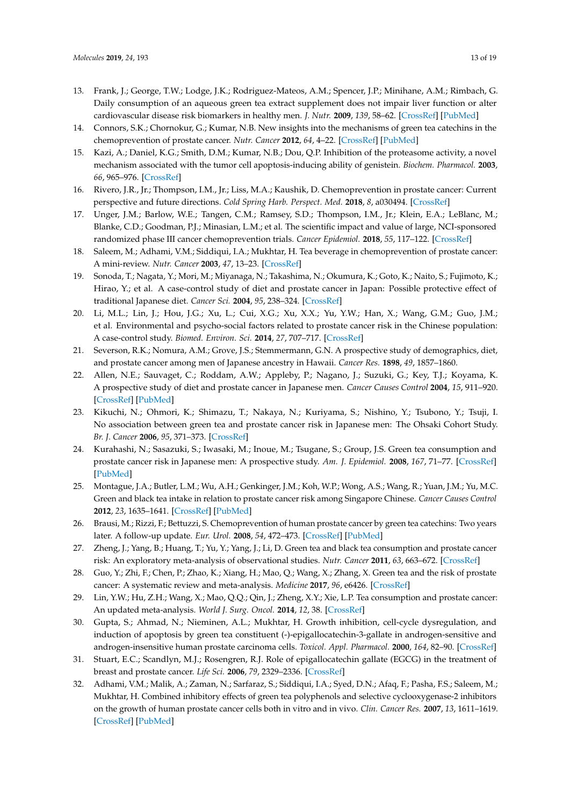- <span id="page-12-0"></span>13. Frank, J.; George, T.W.; Lodge, J.K.; Rodriguez-Mateos, A.M.; Spencer, J.P.; Minihane, A.M.; Rimbach, G. Daily consumption of an aqueous green tea extract supplement does not impair liver function or alter cardiovascular disease risk biomarkers in healthy men. *J. Nutr.* **2009**, *139*, 58–62. [\[CrossRef\]](http://dx.doi.org/10.3945/jn.108.096412) [\[PubMed\]](http://www.ncbi.nlm.nih.gov/pubmed/19056646)
- <span id="page-12-1"></span>14. Connors, S.K.; Chornokur, G.; Kumar, N.B. New insights into the mechanisms of green tea catechins in the chemoprevention of prostate cancer. *Nutr. Cancer* **2012**, *64*, 4–22. [\[CrossRef\]](http://dx.doi.org/10.1080/01635581.2012.630158) [\[PubMed\]](http://www.ncbi.nlm.nih.gov/pubmed/22098273)
- <span id="page-12-2"></span>15. Kazi, A.; Daniel, K.G.; Smith, D.M.; Kumar, N.B.; Dou, Q.P. Inhibition of the proteasome activity, a novel mechanism associated with the tumor cell apoptosis-inducing ability of genistein. *Biochem. Pharmacol.* **2003**, *66*, 965–976. [\[CrossRef\]](http://dx.doi.org/10.1016/S0006-2952(03)00414-3)
- <span id="page-12-3"></span>16. Rivero, J.R., Jr.; Thompson, I.M., Jr.; Liss, M.A.; Kaushik, D. Chemoprevention in prostate cancer: Current perspective and future directions. *Cold Spring Harb. Perspect. Med.* **2018**, *8*, a030494. [\[CrossRef\]](http://dx.doi.org/10.1101/cshperspect.a030494)
- <span id="page-12-4"></span>17. Unger, J.M.; Barlow, W.E.; Tangen, C.M.; Ramsey, S.D.; Thompson, I.M., Jr.; Klein, E.A.; LeBlanc, M.; Blanke, C.D.; Goodman, P.J.; Minasian, L.M.; et al. The scientific impact and value of large, NCI-sponsored randomized phase III cancer chemoprevention trials. *Cancer Epidemiol.* **2018**, *55*, 117–122. [\[CrossRef\]](http://dx.doi.org/10.1016/j.canep.2018.06.005)
- <span id="page-12-5"></span>18. Saleem, M.; Adhami, V.M.; Siddiqui, I.A.; Mukhtar, H. Tea beverage in chemoprevention of prostate cancer: A mini-review. *Nutr. Cancer* **2003**, *47*, 13–23. [\[CrossRef\]](http://dx.doi.org/10.1207/s15327914nc4701_2)
- <span id="page-12-6"></span>19. Sonoda, T.; Nagata, Y.; Mori, M.; Miyanaga, N.; Takashima, N.; Okumura, K.; Goto, K.; Naito, S.; Fujimoto, K.; Hirao, Y.; et al. A case-control study of diet and prostate cancer in Japan: Possible protective effect of traditional Japanese diet. *Cancer Sci.* **2004**, *95*, 238–324. [\[CrossRef\]](http://dx.doi.org/10.1111/j.1349-7006.2004.tb02209.x)
- <span id="page-12-7"></span>20. Li, M.L.; Lin, J.; Hou, J.G.; Xu, L.; Cui, X.G.; Xu, X.X.; Yu, Y.W.; Han, X.; Wang, G.M.; Guo, J.M.; et al. Environmental and psycho-social factors related to prostate cancer risk in the Chinese population: A case-control study. *Biomed. Environ. Sci.* **2014**, *27*, 707–717. [\[CrossRef\]](http://dx.doi.org/10.3967/bes2014.089)
- <span id="page-12-8"></span>21. Severson, R.K.; Nomura, A.M.; Grove, J.S.; Stemmermann, G.N. A prospective study of demographics, diet, and prostate cancer among men of Japanese ancestry in Hawaii. *Cancer Res.* **1898**, *49*, 1857–1860.
- <span id="page-12-9"></span>22. Allen, N.E.; Sauvaget, C.; Roddam, A.W.; Appleby, P.; Nagano, J.; Suzuki, G.; Key, T.J.; Koyama, K. A prospective study of diet and prostate cancer in Japanese men. *Cancer Causes Control* **2004**, *15*, 911–920. [\[CrossRef\]](http://dx.doi.org/10.1007/s10552-004-1683-y) [\[PubMed\]](http://www.ncbi.nlm.nih.gov/pubmed/15577293)
- <span id="page-12-10"></span>23. Kikuchi, N.; Ohmori, K.; Shimazu, T.; Nakaya, N.; Kuriyama, S.; Nishino, Y.; Tsubono, Y.; Tsuji, I. No association between green tea and prostate cancer risk in Japanese men: The Ohsaki Cohort Study. *Br. J. Cancer* **2006**, *95*, 371–373. [\[CrossRef\]](http://dx.doi.org/10.1038/sj.bjc.6603230)
- <span id="page-12-11"></span>24. Kurahashi, N.; Sasazuki, S.; Iwasaki, M.; Inoue, M.; Tsugane, S.; Group, J.S. Green tea consumption and prostate cancer risk in Japanese men: A prospective study. *Am. J. Epidemiol.* **2008**, *167*, 71–77. [\[CrossRef\]](http://dx.doi.org/10.1093/aje/kwm249) [\[PubMed\]](http://www.ncbi.nlm.nih.gov/pubmed/17906295)
- <span id="page-12-12"></span>25. Montague, J.A.; Butler, L.M.; Wu, A.H.; Genkinger, J.M.; Koh, W.P.; Wong, A.S.; Wang, R.; Yuan, J.M.; Yu, M.C. Green and black tea intake in relation to prostate cancer risk among Singapore Chinese. *Cancer Causes Control* **2012**, *23*, 1635–1641. [\[CrossRef\]](http://dx.doi.org/10.1007/s10552-012-0041-8) [\[PubMed\]](http://www.ncbi.nlm.nih.gov/pubmed/22864870)
- <span id="page-12-13"></span>26. Brausi, M.; Rizzi, F.; Bettuzzi, S. Chemoprevention of human prostate cancer by green tea catechins: Two years later. A follow-up update. *Eur. Urol.* **2008**, *54*, 472–473. [\[CrossRef\]](http://dx.doi.org/10.1016/j.eururo.2008.03.100) [\[PubMed\]](http://www.ncbi.nlm.nih.gov/pubmed/18406041)
- <span id="page-12-14"></span>27. Zheng, J.; Yang, B.; Huang, T.; Yu, Y.; Yang, J.; Li, D. Green tea and black tea consumption and prostate cancer risk: An exploratory meta-analysis of observational studies. *Nutr. Cancer* **2011**, *63*, 663–672. [\[CrossRef\]](http://dx.doi.org/10.1080/01635581.2011.570895)
- <span id="page-12-15"></span>28. Guo, Y.; Zhi, F.; Chen, P.; Zhao, K.; Xiang, H.; Mao, Q.; Wang, X.; Zhang, X. Green tea and the risk of prostate cancer: A systematic review and meta-analysis. *Medicine* **2017**, *96*, e6426. [\[CrossRef\]](http://dx.doi.org/10.1097/MD.0000000000006426)
- <span id="page-12-16"></span>29. Lin, Y.W.; Hu, Z.H.; Wang, X.; Mao, Q.Q.; Qin, J.; Zheng, X.Y.; Xie, L.P. Tea consumption and prostate cancer: An updated meta-analysis. *World J. Surg. Oncol.* **2014**, *12*, 38. [\[CrossRef\]](http://dx.doi.org/10.1186/1477-7819-12-38)
- <span id="page-12-17"></span>30. Gupta, S.; Ahmad, N.; Nieminen, A.L.; Mukhtar, H. Growth inhibition, cell-cycle dysregulation, and induction of apoptosis by green tea constituent (-)-epigallocatechin-3-gallate in androgen-sensitive and androgen-insensitive human prostate carcinoma cells. *Toxicol. Appl. Pharmacol.* **2000**, *164*, 82–90. [\[CrossRef\]](http://dx.doi.org/10.1006/taap.1999.8885)
- 31. Stuart, E.C.; Scandlyn, M.J.; Rosengren, R.J. Role of epigallocatechin gallate (EGCG) in the treatment of breast and prostate cancer. *Life Sci.* **2006**, *79*, 2329–2336. [\[CrossRef\]](http://dx.doi.org/10.1016/j.lfs.2006.07.036)
- <span id="page-12-18"></span>32. Adhami, V.M.; Malik, A.; Zaman, N.; Sarfaraz, S.; Siddiqui, I.A.; Syed, D.N.; Afaq, F.; Pasha, F.S.; Saleem, M.; Mukhtar, H. Combined inhibitory effects of green tea polyphenols and selective cyclooxygenase-2 inhibitors on the growth of human prostate cancer cells both in vitro and in vivo. *Clin. Cancer Res.* **2007**, *13*, 1611–1619. [\[CrossRef\]](http://dx.doi.org/10.1158/1078-0432.CCR-06-2269) [\[PubMed\]](http://www.ncbi.nlm.nih.gov/pubmed/17332308)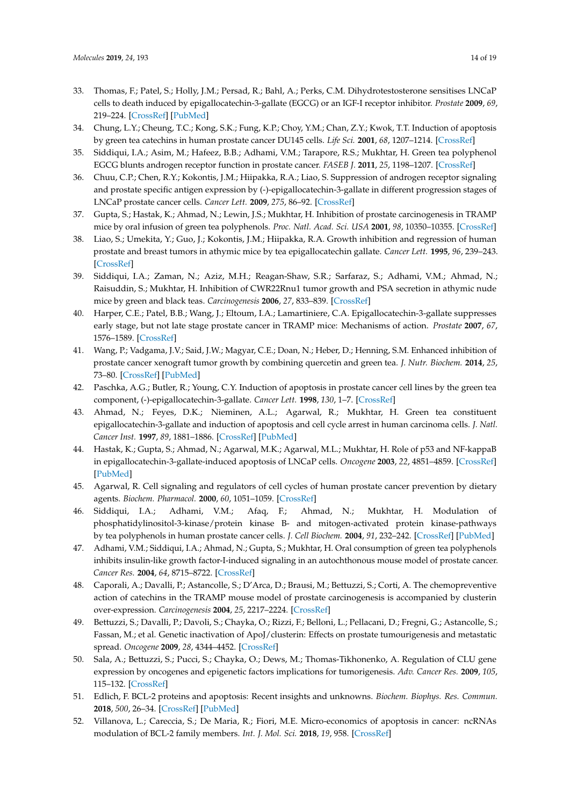- <span id="page-13-8"></span>33. Thomas, F.; Patel, S.; Holly, J.M.; Persad, R.; Bahl, A.; Perks, C.M. Dihydrotestosterone sensitises LNCaP cells to death induced by epigallocatechin-3-gallate (EGCG) or an IGF-I receptor inhibitor. *Prostate* **2009**, *69*, 219–224. [\[CrossRef\]](http://dx.doi.org/10.1002/pros.20873) [\[PubMed\]](http://www.ncbi.nlm.nih.gov/pubmed/18942120)
- <span id="page-13-2"></span>34. Chung, L.Y.; Cheung, T.C.; Kong, S.K.; Fung, K.P.; Choy, Y.M.; Chan, Z.Y.; Kwok, T.T. Induction of apoptosis by green tea catechins in human prostate cancer DU145 cells. *Life Sci.* **2001**, *68*, 1207–1214. [\[CrossRef\]](http://dx.doi.org/10.1016/S0024-3205(00)01020-1)
- <span id="page-13-0"></span>35. Siddiqui, I.A.; Asim, M.; Hafeez, B.B.; Adhami, V.M.; Tarapore, R.S.; Mukhtar, H. Green tea polyphenol EGCG blunts androgen receptor function in prostate cancer. *FASEB J.* **2011**, *25*, 1198–1207. [\[CrossRef\]](http://dx.doi.org/10.1096/fj.10-167924)
- <span id="page-13-1"></span>36. Chuu, C.P.; Chen, R.Y.; Kokontis, J.M.; Hiipakka, R.A.; Liao, S. Suppression of androgen receptor signaling and prostate specific antigen expression by (-)-epigallocatechin-3-gallate in different progression stages of LNCaP prostate cancer cells. *Cancer Lett.* **2009**, *275*, 86–92. [\[CrossRef\]](http://dx.doi.org/10.1016/j.canlet.2008.10.001)
- <span id="page-13-3"></span>37. Gupta, S.; Hastak, K.; Ahmad, N.; Lewin, J.S.; Mukhtar, H. Inhibition of prostate carcinogenesis in TRAMP mice by oral infusion of green tea polyphenols. *Proc. Natl. Acad. Sci. USA* **2001**, *98*, 10350–10355. [\[CrossRef\]](http://dx.doi.org/10.1073/pnas.171326098)
- <span id="page-13-4"></span>38. Liao, S.; Umekita, Y.; Guo, J.; Kokontis, J.M.; Hiipakka, R.A. Growth inhibition and regression of human prostate and breast tumors in athymic mice by tea epigallocatechin gallate. *Cancer Lett.* **1995**, *96*, 239–243. [\[CrossRef\]](http://dx.doi.org/10.1016/0304-3835(95)03948-V)
- <span id="page-13-5"></span>39. Siddiqui, I.A.; Zaman, N.; Aziz, M.H.; Reagan-Shaw, S.R.; Sarfaraz, S.; Adhami, V.M.; Ahmad, N.; Raisuddin, S.; Mukhtar, H. Inhibition of CWR22Rnu1 tumor growth and PSA secretion in athymic nude mice by green and black teas. *Carcinogenesis* **2006**, *27*, 833–839. [\[CrossRef\]](http://dx.doi.org/10.1093/carcin/bgi323)
- <span id="page-13-6"></span>40. Harper, C.E.; Patel, B.B.; Wang, J.; Eltoum, I.A.; Lamartiniere, C.A. Epigallocatechin-3-gallate suppresses early stage, but not late stage prostate cancer in TRAMP mice: Mechanisms of action. *Prostate* **2007**, *67*, 1576–1589. [\[CrossRef\]](http://dx.doi.org/10.1002/pros.20643)
- <span id="page-13-7"></span>41. Wang, P.; Vadgama, J.V.; Said, J.W.; Magyar, C.E.; Doan, N.; Heber, D.; Henning, S.M. Enhanced inhibition of prostate cancer xenograft tumor growth by combining quercetin and green tea. *J. Nutr. Biochem.* **2014**, *25*, 73–80. [\[CrossRef\]](http://dx.doi.org/10.1016/j.jnutbio.2013.09.005) [\[PubMed\]](http://www.ncbi.nlm.nih.gov/pubmed/24314868)
- <span id="page-13-9"></span>42. Paschka, A.G.; Butler, R.; Young, C.Y. Induction of apoptosis in prostate cancer cell lines by the green tea component, (-)-epigallocatechin-3-gallate. *Cancer Lett.* **1998**, *130*, 1–7. [\[CrossRef\]](http://dx.doi.org/10.1016/S0304-3835(98)00084-6)
- <span id="page-13-10"></span>43. Ahmad, N.; Feyes, D.K.; Nieminen, A.L.; Agarwal, R.; Mukhtar, H. Green tea constituent epigallocatechin-3-gallate and induction of apoptosis and cell cycle arrest in human carcinoma cells. *J. Natl. Cancer Inst.* **1997**, *89*, 1881–1886. [\[CrossRef\]](http://dx.doi.org/10.1093/jnci/89.24.1881) [\[PubMed\]](http://www.ncbi.nlm.nih.gov/pubmed/9414176)
- <span id="page-13-11"></span>44. Hastak, K.; Gupta, S.; Ahmad, N.; Agarwal, M.K.; Agarwal, M.L.; Mukhtar, H. Role of p53 and NF-kappaB in epigallocatechin-3-gallate-induced apoptosis of LNCaP cells. *Oncogene* **2003**, *22*, 4851–4859. [\[CrossRef\]](http://dx.doi.org/10.1038/sj.onc.1206708) [\[PubMed\]](http://www.ncbi.nlm.nih.gov/pubmed/12894226)
- <span id="page-13-12"></span>45. Agarwal, R. Cell signaling and regulators of cell cycles of human prostate cancer prevention by dietary agents. *Biochem. Pharmacol.* **2000**, *60*, 1051–1059. [\[CrossRef\]](http://dx.doi.org/10.1016/S0006-2952(00)00385-3)
- <span id="page-13-13"></span>46. Siddiqui, I.A.; Adhami, V.M.; Afaq, F.; Ahmad, N.; Mukhtar, H. Modulation of phosphatidylinositol-3-kinase/protein kinase B- and mitogen-activated protein kinase-pathways by tea polyphenols in human prostate cancer cells. *J. Cell Biochem.* **2004**, *91*, 232–242. [\[CrossRef\]](http://dx.doi.org/10.1002/jcb.10737) [\[PubMed\]](http://www.ncbi.nlm.nih.gov/pubmed/14743383)
- <span id="page-13-14"></span>47. Adhami, V.M.; Siddiqui, I.A.; Ahmad, N.; Gupta, S.; Mukhtar, H. Oral consumption of green tea polyphenols inhibits insulin-like growth factor-I-induced signaling in an autochthonous mouse model of prostate cancer. *Cancer Res.* **2004**, *64*, 8715–8722. [\[CrossRef\]](http://dx.doi.org/10.1158/0008-5472.CAN-04-2840)
- <span id="page-13-15"></span>48. Caporali, A.; Davalli, P.; Astancolle, S.; D'Arca, D.; Brausi, M.; Bettuzzi, S.; Corti, A. The chemopreventive action of catechins in the TRAMP mouse model of prostate carcinogenesis is accompanied by clusterin over-expression. *Carcinogenesis* **2004**, *25*, 2217–2224. [\[CrossRef\]](http://dx.doi.org/10.1093/carcin/bgh235)
- <span id="page-13-16"></span>49. Bettuzzi, S.; Davalli, P.; Davoli, S.; Chayka, O.; Rizzi, F.; Belloni, L.; Pellacani, D.; Fregni, G.; Astancolle, S.; Fassan, M.; et al. Genetic inactivation of ApoJ/clusterin: Effects on prostate tumourigenesis and metastatic spread. *Oncogene* **2009**, *28*, 4344–4452. [\[CrossRef\]](http://dx.doi.org/10.1038/onc.2009.286)
- <span id="page-13-17"></span>50. Sala, A.; Bettuzzi, S.; Pucci, S.; Chayka, O.; Dews, M.; Thomas-Tikhonenko, A. Regulation of CLU gene expression by oncogenes and epigenetic factors implications for tumorigenesis. *Adv. Cancer Res.* **2009**, *105*, 115–132. [\[CrossRef\]](http://dx.doi.org/10.1016/S0065-230X(09)05007-6)
- <span id="page-13-18"></span>51. Edlich, F. BCL-2 proteins and apoptosis: Recent insights and unknowns. *Biochem. Biophys. Res. Commun.* **2018**, *500*, 26–34. [\[CrossRef\]](http://dx.doi.org/10.1016/j.bbrc.2017.06.190) [\[PubMed\]](http://www.ncbi.nlm.nih.gov/pubmed/28676391)
- <span id="page-13-19"></span>52. Villanova, L.; Careccia, S.; De Maria, R.; Fiori, M.E. Micro-economics of apoptosis in cancer: ncRNAs modulation of BCL-2 family members. *Int. J. Mol. Sci.* **2018**, *19*, 958. [\[CrossRef\]](http://dx.doi.org/10.3390/ijms19040958)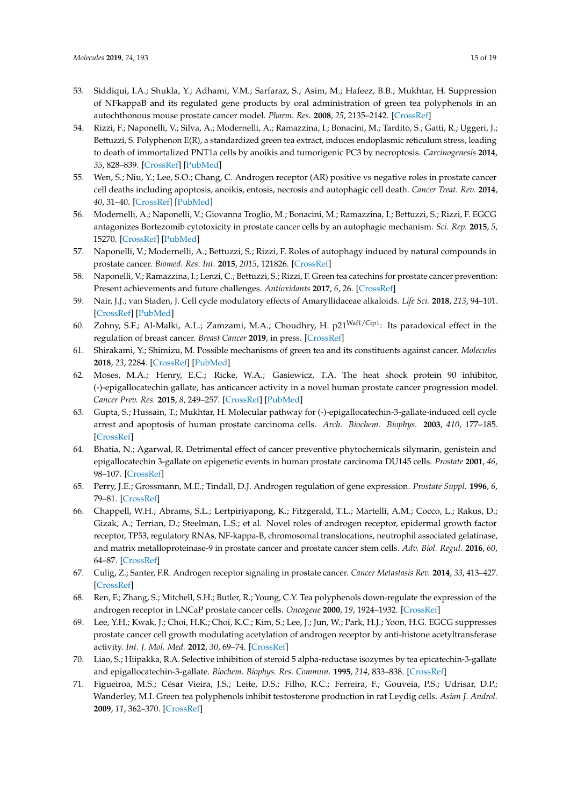- <span id="page-14-0"></span>53. Siddiqui, I.A.; Shukla, Y.; Adhami, V.M.; Sarfaraz, S.; Asim, M.; Hafeez, B.B.; Mukhtar, H. Suppression of NFkappaB and its regulated gene products by oral administration of green tea polyphenols in an autochthonous mouse prostate cancer model. *Pharm. Res.* **2008**, *25*, 2135–2142. [\[CrossRef\]](http://dx.doi.org/10.1007/s11095-008-9553-z)
- <span id="page-14-1"></span>54. Rizzi, F.; Naponelli, V.; Silva, A.; Modernelli, A.; Ramazzina, I.; Bonacini, M.; Tardito, S.; Gatti, R.; Uggeri, J.; Bettuzzi, S. Polyphenon E(R), a standardized green tea extract, induces endoplasmic reticulum stress, leading to death of immortalized PNT1a cells by anoikis and tumorigenic PC3 by necroptosis. *Carcinogenesis* **2014**, *35*, 828–839. [\[CrossRef\]](http://dx.doi.org/10.1093/carcin/bgt481) [\[PubMed\]](http://www.ncbi.nlm.nih.gov/pubmed/24343359)
- <span id="page-14-2"></span>55. Wen, S.; Niu, Y.; Lee, S.O.; Chang, C. Androgen receptor (AR) positive vs negative roles in prostate cancer cell deaths including apoptosis, anoikis, entosis, necrosis and autophagic cell death. *Cancer Treat. Rev.* **2014**, *40*, 31–40. [\[CrossRef\]](http://dx.doi.org/10.1016/j.ctrv.2013.07.008) [\[PubMed\]](http://www.ncbi.nlm.nih.gov/pubmed/23993415)
- <span id="page-14-3"></span>56. Modernelli, A.; Naponelli, V.; Giovanna Troglio, M.; Bonacini, M.; Ramazzina, I.; Bettuzzi, S.; Rizzi, F. EGCG antagonizes Bortezomib cytotoxicity in prostate cancer cells by an autophagic mechanism. *Sci. Rep.* **2015**, *5*, 15270. [\[CrossRef\]](http://dx.doi.org/10.1038/srep15270) [\[PubMed\]](http://www.ncbi.nlm.nih.gov/pubmed/26471237)
- <span id="page-14-4"></span>57. Naponelli, V.; Modernelli, A.; Bettuzzi, S.; Rizzi, F. Roles of autophagy induced by natural compounds in prostate cancer. *Biomed. Res. Int.* **2015**, *2015*, 121826. [\[CrossRef\]](http://dx.doi.org/10.1155/2015/121826)
- <span id="page-14-5"></span>58. Naponelli, V.; Ramazzina, I.; Lenzi, C.; Bettuzzi, S.; Rizzi, F. Green tea catechins for prostate cancer prevention: Present achievements and future challenges. *Antioxidants* **2017**, *6*, 26. [\[CrossRef\]](http://dx.doi.org/10.3390/antiox6020026)
- <span id="page-14-6"></span>59. Nair, J.J.; van Staden, J. Cell cycle modulatory effects of Amaryllidaceae alkaloids. *Life Sci.* **2018**, *213*, 94–101. [\[CrossRef\]](http://dx.doi.org/10.1016/j.lfs.2018.08.073) [\[PubMed\]](http://www.ncbi.nlm.nih.gov/pubmed/30179629)
- <span id="page-14-7"></span>60. Zohny, S.F.; Al-Malki, A.L.; Zamzami, M.A.; Choudhry, H. p21Waf1/Cip1: Its paradoxical effect in the regulation of breast cancer. *Breast Cancer* **2019**, in press. [\[CrossRef\]](http://dx.doi.org/10.1007/s12282-018-0913-1)
- <span id="page-14-8"></span>61. Shirakami, Y.; Shimizu, M. Possible mechanisms of green tea and its constituents against cancer. *Molecules* **2018**, *23*, 2284. [\[CrossRef\]](http://dx.doi.org/10.3390/molecules23092284) [\[PubMed\]](http://www.ncbi.nlm.nih.gov/pubmed/30205425)
- <span id="page-14-9"></span>62. Moses, M.A.; Henry, E.C.; Ricke, W.A.; Gasiewicz, T.A. The heat shock protein 90 inhibitor, (-)-epigallocatechin gallate, has anticancer activity in a novel human prostate cancer progression model. *Cancer Prev. Res.* **2015**, *8*, 249–257. [\[CrossRef\]](http://dx.doi.org/10.1158/1940-6207.CAPR-14-0224) [\[PubMed\]](http://www.ncbi.nlm.nih.gov/pubmed/25604133)
- <span id="page-14-10"></span>63. Gupta, S.; Hussain, T.; Mukhtar, H. Molecular pathway for (-)-epigallocatechin-3-gallate-induced cell cycle arrest and apoptosis of human prostate carcinoma cells. *Arch. Biochem. Biophys.* **2003**, *410*, 177–185. [\[CrossRef\]](http://dx.doi.org/10.1016/S0003-9861(02)00668-9)
- <span id="page-14-11"></span>64. Bhatia, N.; Agarwal, R. Detrimental effect of cancer preventive phytochemicals silymarin, genistein and epigallocatechin 3-gallate on epigenetic events in human prostate carcinoma DU145 cells. *Prostate* **2001**, *46*, 98–107. [\[CrossRef\]](http://dx.doi.org/10.1002/1097-0045(20010201)46:2<98::AID-PROS1013>3.0.CO;2-K)
- <span id="page-14-12"></span>65. Perry, J.E.; Grossmann, M.E.; Tindall, D.J. Androgen regulation of gene expression. *Prostate Suppl.* **1996**, *6*, 79–81. [\[CrossRef\]](http://dx.doi.org/10.1002/(SICI)1097-0045(1996)6+<79::AID-PROS15>3.0.CO;2-O)
- <span id="page-14-18"></span>66. Chappell, W.H.; Abrams, S.L.; Lertpiriyapong, K.; Fitzgerald, T.L.; Martelli, A.M.; Cocco, L.; Rakus, D.; Gizak, A.; Terrian, D.; Steelman, L.S.; et al. Novel roles of androgen receptor, epidermal growth factor receptor, TP53, regulatory RNAs, NF-kappa-B, chromosomal translocations, neutrophil associated gelatinase, and matrix metalloproteinase-9 in prostate cancer and prostate cancer stem cells. *Adv. Biol. Regul.* **2016**, *60*, 64–87. [\[CrossRef\]](http://dx.doi.org/10.1016/j.jbior.2015.10.001)
- <span id="page-14-13"></span>67. Culig, Z.; Santer, F.R. Androgen receptor signaling in prostate cancer. *Cancer Metastasis Rev.* **2014**, *33*, 413–427. [\[CrossRef\]](http://dx.doi.org/10.1007/s10555-013-9474-0)
- <span id="page-14-14"></span>68. Ren, F.; Zhang, S.; Mitchell, S.H.; Butler, R.; Young, C.Y. Tea polyphenols down-regulate the expression of the androgen receptor in LNCaP prostate cancer cells. *Oncogene* **2000**, *19*, 1924–1932. [\[CrossRef\]](http://dx.doi.org/10.1038/sj.onc.1203511)
- <span id="page-14-15"></span>69. Lee, Y.H.; Kwak, J.; Choi, H.K.; Choi, K.C.; Kim, S.; Lee, J.; Jun, W.; Park, H.J.; Yoon, H.G. EGCG suppresses prostate cancer cell growth modulating acetylation of androgen receptor by anti-histone acetyltransferase activity. *Int. J. Mol. Med.* **2012**, *30*, 69–74. [\[CrossRef\]](http://dx.doi.org/10.3892/ijmm.2012.966)
- <span id="page-14-16"></span>70. Liao, S.; Hiipakka, R.A. Selective inhibition of steroid 5 alpha-reductase isozymes by tea epicatechin-3-gallate and epigallocatechin-3-gallate. *Biochem. Biophys. Res. Commun.* **1995**, *214*, 833–838. [\[CrossRef\]](http://dx.doi.org/10.1006/bbrc.1995.2362)
- <span id="page-14-17"></span>71. Figueiroa, M.S.; César Vieira, J.S.; Leite, D.S.; Filho, R.C.; Ferreira, F.; Gouveia, P.S.; Udrisar, D.P.; Wanderley, M.I. Green tea polyphenols inhibit testosterone production in rat Leydig cells. *Asian J. Androl.* **2009**, *11*, 362–370. [\[CrossRef\]](http://dx.doi.org/10.1038/aja.2009.2)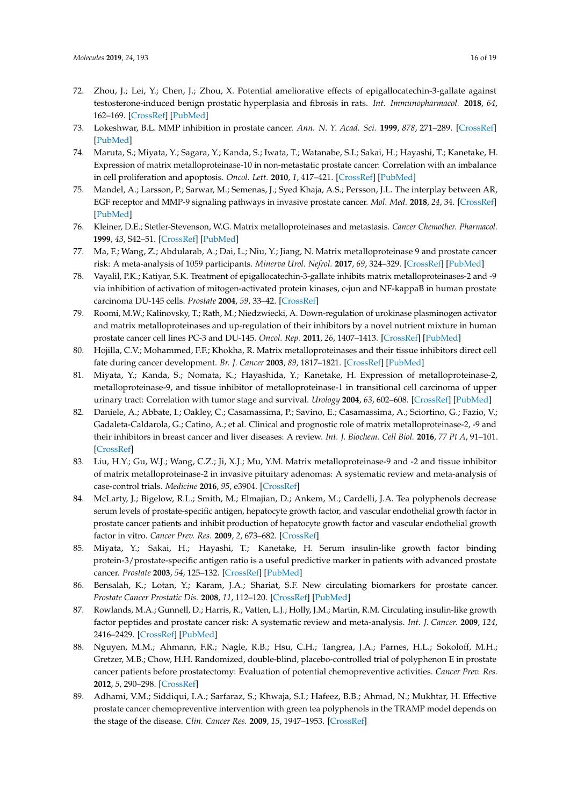- <span id="page-15-0"></span>72. Zhou, J.; Lei, Y.; Chen, J.; Zhou, X. Potential ameliorative effects of epigallocatechin-3-gallate against testosterone-induced benign prostatic hyperplasia and fibrosis in rats. *Int. Immunopharmacol.* **2018**, *64*, 162–169. [\[CrossRef\]](http://dx.doi.org/10.1016/j.intimp.2018.08.038) [\[PubMed\]](http://www.ncbi.nlm.nih.gov/pubmed/30179845)
- <span id="page-15-1"></span>73. Lokeshwar, B.L. MMP inhibition in prostate cancer. *Ann. N. Y. Acad. Sci.* **1999**, *878*, 271–289. [\[CrossRef\]](http://dx.doi.org/10.1111/j.1749-6632.1999.tb07690.x) [\[PubMed\]](http://www.ncbi.nlm.nih.gov/pubmed/10415736)
- 74. Maruta, S.; Miyata, Y.; Sagara, Y.; Kanda, S.; Iwata, T.; Watanabe, S.I.; Sakai, H.; Hayashi, T.; Kanetake, H. Expression of matrix metalloproteinase-10 in non-metastatic prostate cancer: Correlation with an imbalance in cell proliferation and apoptosis. *Oncol. Lett.* **2010**, *1*, 417–421. [\[CrossRef\]](http://dx.doi.org/10.3892/ol_00000073) [\[PubMed\]](http://www.ncbi.nlm.nih.gov/pubmed/22966318)
- <span id="page-15-2"></span>75. Mandel, A.; Larsson, P.; Sarwar, M.; Semenas, J.; Syed Khaja, A.S.; Persson, J.L. The interplay between AR, EGF receptor and MMP-9 signaling pathways in invasive prostate cancer. *Mol. Med.* **2018**, *24*, 34. [\[CrossRef\]](http://dx.doi.org/10.1186/s10020-018-0035-4) [\[PubMed\]](http://www.ncbi.nlm.nih.gov/pubmed/30134822)
- 76. Kleiner, D.E.; Stetler-Stevenson, W.G. Matrix metalloproteinases and metastasis. *Cancer Chemother. Pharmacol.* **1999**, *43*, S42–51. [\[CrossRef\]](http://dx.doi.org/10.1007/s002800051097) [\[PubMed\]](http://www.ncbi.nlm.nih.gov/pubmed/10357558)
- <span id="page-15-3"></span>77. Ma, F.; Wang, Z.; Abdularab, A.; Dai, L.; Niu, Y.; Jiang, N. Matrix metalloproteinase 9 and prostate cancer risk: A meta-analysis of 1059 participants. *Minerva Urol. Nefrol.* **2017**, *69*, 324–329. [\[CrossRef\]](http://dx.doi.org/10.23736/S0393-2249.16.02623-0) [\[PubMed\]](http://www.ncbi.nlm.nih.gov/pubmed/27355218)
- <span id="page-15-4"></span>78. Vayalil, P.K.; Katiyar, S.K. Treatment of epigallocatechin-3-gallate inhibits matrix metalloproteinases-2 and -9 via inhibition of activation of mitogen-activated protein kinases, c-jun and NF-kappaB in human prostate carcinoma DU-145 cells. *Prostate* **2004**, *59*, 33–42. [\[CrossRef\]](http://dx.doi.org/10.1002/pros.10352)
- <span id="page-15-5"></span>79. Roomi, M.W.; Kalinovsky, T.; Rath, M.; Niedzwiecki, A. Down-regulation of urokinase plasminogen activator and matrix metalloproteinases and up-regulation of their inhibitors by a novel nutrient mixture in human prostate cancer cell lines PC-3 and DU-145. *Oncol. Rep.* **2011**, *26*, 1407–1413. [\[CrossRef\]](http://dx.doi.org/10.3892/or.2011.1434) [\[PubMed\]](http://www.ncbi.nlm.nih.gov/pubmed/21874261)
- <span id="page-15-6"></span>80. Hojilla, C.V.; Mohammed, F.F.; Khokha, R. Matrix metalloproteinases and their tissue inhibitors direct cell fate during cancer development. *Br. J. Cancer* **2003**, *89*, 1817–1821. [\[CrossRef\]](http://dx.doi.org/10.1038/sj.bjc.6601327) [\[PubMed\]](http://www.ncbi.nlm.nih.gov/pubmed/14612884)
- <span id="page-15-7"></span>81. Miyata, Y.; Kanda, S.; Nomata, K.; Hayashida, Y.; Kanetake, H. Expression of metalloproteinase-2, metalloproteinase-9, and tissue inhibitor of metalloproteinase-1 in transitional cell carcinoma of upper urinary tract: Correlation with tumor stage and survival. *Urology* **2004**, *63*, 602–608. [\[CrossRef\]](http://dx.doi.org/10.1016/j.urology.2003.09.035) [\[PubMed\]](http://www.ncbi.nlm.nih.gov/pubmed/15028476)
- 82. Daniele, A.; Abbate, I.; Oakley, C.; Casamassima, P.; Savino, E.; Casamassima, A.; Sciortino, G.; Fazio, V.; Gadaleta-Caldarola, G.; Catino, A.; et al. Clinical and prognostic role of matrix metalloproteinase-2, -9 and their inhibitors in breast cancer and liver diseases: A review. *Int. J. Biochem. Cell Biol.* **2016**, *77 Pt A*, 91–101. [\[CrossRef\]](http://dx.doi.org/10.1016/j.biocel.2016.06.002)
- <span id="page-15-8"></span>83. Liu, H.Y.; Gu, W.J.; Wang, C.Z.; Ji, X.J.; Mu, Y.M. Matrix metalloproteinase-9 and -2 and tissue inhibitor of matrix metalloproteinase-2 in invasive pituitary adenomas: A systematic review and meta-analysis of case-control trials. *Medicine* **2016**, *95*, e3904. [\[CrossRef\]](http://dx.doi.org/10.1097/MD.0000000000003904)
- <span id="page-15-9"></span>84. McLarty, J.; Bigelow, R.L.; Smith, M.; Elmajian, D.; Ankem, M.; Cardelli, J.A. Tea polyphenols decrease serum levels of prostate-specific antigen, hepatocyte growth factor, and vascular endothelial growth factor in prostate cancer patients and inhibit production of hepatocyte growth factor and vascular endothelial growth factor in vitro. *Cancer Prev. Res.* **2009**, *2*, 673–682. [\[CrossRef\]](http://dx.doi.org/10.1158/1940-6207.CAPR-08-0167)
- <span id="page-15-10"></span>85. Miyata, Y.; Sakai, H.; Hayashi, T.; Kanetake, H. Serum insulin-like growth factor binding protein-3/prostate-specific antigen ratio is a useful predictive marker in patients with advanced prostate cancer. *Prostate* **2003**, *54*, 125–132. [\[CrossRef\]](http://dx.doi.org/10.1002/pros.10175) [\[PubMed\]](http://www.ncbi.nlm.nih.gov/pubmed/12497585)
- 86. Bensalah, K.; Lotan, Y.; Karam, J.A.; Shariat, S.F. New circulating biomarkers for prostate cancer. *Prostate Cancer Prostatic Dis.* **2008**, *11*, 112–120. [\[CrossRef\]](http://dx.doi.org/10.1038/sj.pcan.4501026) [\[PubMed\]](http://www.ncbi.nlm.nih.gov/pubmed/17998918)
- <span id="page-15-11"></span>87. Rowlands, M.A.; Gunnell, D.; Harris, R.; Vatten, L.J.; Holly, J.M.; Martin, R.M. Circulating insulin-like growth factor peptides and prostate cancer risk: A systematic review and meta-analysis. *Int. J. Cancer.* **2009**, *124*, 2416–2429. [\[CrossRef\]](http://dx.doi.org/10.1002/ijc.24202) [\[PubMed\]](http://www.ncbi.nlm.nih.gov/pubmed/19142965)
- <span id="page-15-12"></span>88. Nguyen, M.M.; Ahmann, F.R.; Nagle, R.B.; Hsu, C.H.; Tangrea, J.A.; Parnes, H.L.; Sokoloff, M.H.; Gretzer, M.B.; Chow, H.H. Randomized, double-blind, placebo-controlled trial of polyphenon E in prostate cancer patients before prostatectomy: Evaluation of potential chemopreventive activities. *Cancer Prev. Res.* **2012**, *5*, 290–298. [\[CrossRef\]](http://dx.doi.org/10.1158/1940-6207.CAPR-11-0306)
- <span id="page-15-13"></span>89. Adhami, V.M.; Siddiqui, I.A.; Sarfaraz, S.; Khwaja, S.I.; Hafeez, B.B.; Ahmad, N.; Mukhtar, H. Effective prostate cancer chemopreventive intervention with green tea polyphenols in the TRAMP model depends on the stage of the disease. *Clin. Cancer Res.* **2009**, *15*, 1947–1953. [\[CrossRef\]](http://dx.doi.org/10.1158/1078-0432.CCR-08-2332)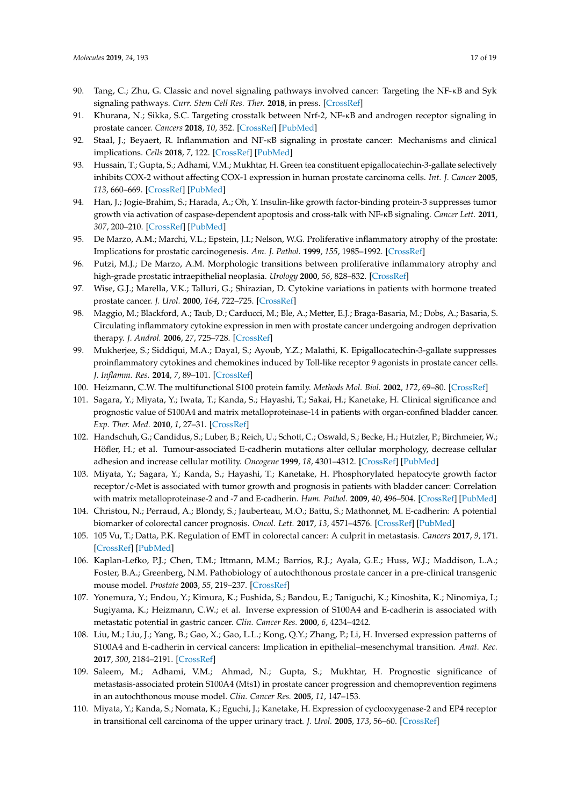- <span id="page-16-0"></span>90. Tang, C.; Zhu, G. Classic and novel signaling pathways involved cancer: Targeting the NF-κB and Syk signaling pathways. *Curr. Stem Cell Res. Ther.* **2018**, in press. [\[CrossRef\]](http://dx.doi.org/10.2174/1574888X13666180723104340)
- <span id="page-16-1"></span>91. Khurana, N.; Sikka, S.C. Targeting crosstalk between Nrf-2, NF-κB and androgen receptor signaling in prostate cancer. *Cancers* **2018**, *10*, 352. [\[CrossRef\]](http://dx.doi.org/10.3390/cancers10100352) [\[PubMed\]](http://www.ncbi.nlm.nih.gov/pubmed/30257470)
- <span id="page-16-2"></span>92. Staal, J.; Beyaert, R. Inflammation and NF-κB signaling in prostate cancer: Mechanisms and clinical implications. *Cells* **2018**, *7*, 122. [\[CrossRef\]](http://dx.doi.org/10.3390/cells7090122) [\[PubMed\]](http://www.ncbi.nlm.nih.gov/pubmed/30158439)
- <span id="page-16-3"></span>93. Hussain, T.; Gupta, S.; Adhami, V.M.; Mukhtar, H. Green tea constituent epigallocatechin-3-gallate selectively inhibits COX-2 without affecting COX-1 expression in human prostate carcinoma cells. *Int. J. Cancer* **2005**, *113*, 660–669. [\[CrossRef\]](http://dx.doi.org/10.1002/ijc.20629) [\[PubMed\]](http://www.ncbi.nlm.nih.gov/pubmed/15455372)
- <span id="page-16-4"></span>94. Han, J.; Jogie-Brahim, S.; Harada, A.; Oh, Y. Insulin-like growth factor-binding protein-3 suppresses tumor growth via activation of caspase-dependent apoptosis and cross-talk with NF-κB signaling. *Cancer Lett.* **2011**, *307*, 200–210. [\[CrossRef\]](http://dx.doi.org/10.1016/j.canlet.2011.04.004) [\[PubMed\]](http://www.ncbi.nlm.nih.gov/pubmed/21536375)
- <span id="page-16-5"></span>95. De Marzo, A.M.; Marchi, V.L.; Epstein, J.I.; Nelson, W.G. Proliferative inflammatory atrophy of the prostate: Implications for prostatic carcinogenesis. *Am. J. Pathol.* **1999**, *155*, 1985–1992. [\[CrossRef\]](http://dx.doi.org/10.1016/S0002-9440(10)65517-4)
- <span id="page-16-6"></span>96. Putzi, M.J.; De Marzo, A.M. Morphologic transitions between proliferative inflammatory atrophy and high-grade prostatic intraepithelial neoplasia. *Urology* **2000**, *56*, 828–832. [\[CrossRef\]](http://dx.doi.org/10.1016/S0090-4295(00)00776-7)
- <span id="page-16-7"></span>97. Wise, G.J.; Marella, V.K.; Talluri, G.; Shirazian, D. Cytokine variations in patients with hormone treated prostate cancer. *J. Urol.* **2000**, *164*, 722–725. [\[CrossRef\]](http://dx.doi.org/10.1016/S0022-5347(05)67289-8)
- <span id="page-16-8"></span>98. Maggio, M.; Blackford, A.; Taub, D.; Carducci, M.; Ble, A.; Metter, E.J.; Braga-Basaria, M.; Dobs, A.; Basaria, S. Circulating inflammatory cytokine expression in men with prostate cancer undergoing androgen deprivation therapy. *J. Androl.* **2006**, *27*, 725–728. [\[CrossRef\]](http://dx.doi.org/10.2164/jandrol.106.000141)
- <span id="page-16-9"></span>99. Mukherjee, S.; Siddiqui, M.A.; Dayal, S.; Ayoub, Y.Z.; Malathi, K. Epigallocatechin-3-gallate suppresses proinflammatory cytokines and chemokines induced by Toll-like receptor 9 agonists in prostate cancer cells. *J. Inflamm. Res.* **2014**, *7*, 89–101. [\[CrossRef\]](http://dx.doi.org/10.2147/JIR.S61365)
- <span id="page-16-10"></span>100. Heizmann, C.W. The multifunctional S100 protein family. *Methods Mol. Biol.* **2002**, *172*, 69–80. [\[CrossRef\]](http://dx.doi.org/10.1385/1-59259-183-3:069)
- <span id="page-16-11"></span>101. Sagara, Y.; Miyata, Y.; Iwata, T.; Kanda, S.; Hayashi, T.; Sakai, H.; Kanetake, H. Clinical significance and prognostic value of S100A4 and matrix metalloproteinase-14 in patients with organ-confined bladder cancer. *Exp. Ther. Med.* **2010**, *1*, 27–31. [\[CrossRef\]](http://dx.doi.org/10.3892/etm_00000005)
- <span id="page-16-12"></span>102. Handschuh, G.; Candidus, S.; Luber, B.; Reich, U.; Schott, C.; Oswald, S.; Becke, H.; Hutzler, P.; Birchmeier, W.; Höfler, H.; et al. Tumour-associated E-cadherin mutations alter cellular morphology, decrease cellular adhesion and increase cellular motility. *Oncogene* **1999**, *18*, 4301–4312. [\[CrossRef\]](http://dx.doi.org/10.1038/sj.onc.1202790) [\[PubMed\]](http://www.ncbi.nlm.nih.gov/pubmed/10439038)
- <span id="page-16-13"></span>103. Miyata, Y.; Sagara, Y.; Kanda, S.; Hayashi, T.; Kanetake, H. Phosphorylated hepatocyte growth factor receptor/c-Met is associated with tumor growth and prognosis in patients with bladder cancer: Correlation with matrix metalloproteinase-2 and -7 and E-cadherin. *Hum. Pathol.* **2009**, *40*, 496–504. [\[CrossRef\]](http://dx.doi.org/10.1016/j.humpath.2008.09.011) [\[PubMed\]](http://www.ncbi.nlm.nih.gov/pubmed/19121849)
- 104. Christou, N.; Perraud, A.; Blondy, S.; Jauberteau, M.O.; Battu, S.; Mathonnet, M. E-cadherin: A potential biomarker of colorectal cancer prognosis. *Oncol. Lett.* **2017**, *13*, 4571–4576. [\[CrossRef\]](http://dx.doi.org/10.3892/ol.2017.6063) [\[PubMed\]](http://www.ncbi.nlm.nih.gov/pubmed/28588719)
- <span id="page-16-14"></span>105. 105 Vu, T.; Datta, P.K. Regulation of EMT in colorectal cancer: A culprit in metastasis. *Cancers* **2017**, *9*, 171. [\[CrossRef\]](http://dx.doi.org/10.3390/cancers9120171) [\[PubMed\]](http://www.ncbi.nlm.nih.gov/pubmed/29258163)
- <span id="page-16-15"></span>106. Kaplan-Lefko, P.J.; Chen, T.M.; Ittmann, M.M.; Barrios, R.J.; Ayala, G.E.; Huss, W.J.; Maddison, L.A.; Foster, B.A.; Greenberg, N.M. Pathobiology of autochthonous prostate cancer in a pre-clinical transgenic mouse model. *Prostate* **2003**, *55*, 219–237. [\[CrossRef\]](http://dx.doi.org/10.1002/pros.10215)
- <span id="page-16-16"></span>107. Yonemura, Y.; Endou, Y.; Kimura, K.; Fushida, S.; Bandou, E.; Taniguchi, K.; Kinoshita, K.; Ninomiya, I.; Sugiyama, K.; Heizmann, C.W.; et al. Inverse expression of S100A4 and E-cadherin is associated with metastatic potential in gastric cancer. *Clin. Cancer Res.* **2000**, *6*, 4234–4242.
- <span id="page-16-17"></span>108. Liu, M.; Liu, J.; Yang, B.; Gao, X.; Gao, L.L.; Kong, Q.Y.; Zhang, P.; Li, H. Inversed expression patterns of S100A4 and E-cadherin in cervical cancers: Implication in epithelial–mesenchymal transition. *Anat. Rec.* **2017**, *300*, 2184–2191. [\[CrossRef\]](http://dx.doi.org/10.1002/ar.23688)
- <span id="page-16-18"></span>109. Saleem, M.; Adhami, V.M.; Ahmad, N.; Gupta, S.; Mukhtar, H. Prognostic significance of metastasis-associated protein S100A4 (Mts1) in prostate cancer progression and chemoprevention regimens in an autochthonous mouse model. *Clin. Cancer Res.* **2005**, *11*, 147–153.
- <span id="page-16-19"></span>110. Miyata, Y.; Kanda, S.; Nomata, K.; Eguchi, J.; Kanetake, H. Expression of cyclooxygenase-2 and EP4 receptor in transitional cell carcinoma of the upper urinary tract. *J. Urol.* **2005**, *173*, 56–60. [\[CrossRef\]](http://dx.doi.org/10.1097/01.ju.0000148272.77539.2d)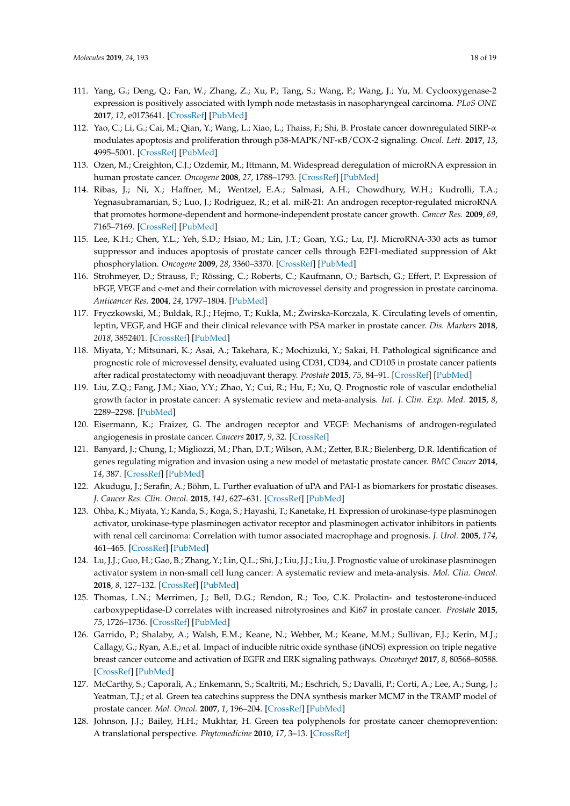- 111. Yang, G.; Deng, Q.; Fan, W.; Zhang, Z.; Xu, P.; Tang, S.; Wang, P.; Wang, J.; Yu, M. Cyclooxygenase-2 expression is positively associated with lymph node metastasis in nasopharyngeal carcinoma. *PLoS ONE* **2017**, *12*, e0173641. [\[CrossRef\]](http://dx.doi.org/10.1371/journal.pone.0173641) [\[PubMed\]](http://www.ncbi.nlm.nih.gov/pubmed/28301518)
- <span id="page-17-0"></span>112. Yao, C.; Li, G.; Cai, M.; Qian, Y.; Wang, L.; Xiao, L.; Thaiss, F.; Shi, B. Prostate cancer downregulated SIRP-α modulates apoptosis and proliferation through p38-MAPK/NF-κB/COX-2 signaling. *Oncol. Lett.* **2017**, *13*, 4995–5001. [\[CrossRef\]](http://dx.doi.org/10.3892/ol.2017.6070) [\[PubMed\]](http://www.ncbi.nlm.nih.gov/pubmed/28588738)
- <span id="page-17-1"></span>113. Ozen, M.; Creighton, C.J.; Ozdemir, M.; Ittmann, M. Widespread deregulation of microRNA expression in human prostate cancer. *Oncogene* **2008**, *27*, 1788–1793. [\[CrossRef\]](http://dx.doi.org/10.1038/sj.onc.1210809) [\[PubMed\]](http://www.ncbi.nlm.nih.gov/pubmed/17891175)
- <span id="page-17-2"></span>114. Ribas, J.; Ni, X.; Haffner, M.; Wentzel, E.A.; Salmasi, A.H.; Chowdhury, W.H.; Kudrolli, T.A.; Yegnasubramanian, S.; Luo, J.; Rodriguez, R.; et al. miR-21: An androgen receptor-regulated microRNA that promotes hormone-dependent and hormone-independent prostate cancer growth. *Cancer Res.* **2009**, *69*, 7165–7169. [\[CrossRef\]](http://dx.doi.org/10.1158/0008-5472.CAN-09-1448) [\[PubMed\]](http://www.ncbi.nlm.nih.gov/pubmed/19738047)
- <span id="page-17-3"></span>115. Lee, K.H.; Chen, Y.L.; Yeh, S.D.; Hsiao, M.; Lin, J.T.; Goan, Y.G.; Lu, P.J. MicroRNA-330 acts as tumor suppressor and induces apoptosis of prostate cancer cells through E2F1-mediated suppression of Akt phosphorylation. *Oncogene* **2009**, *28*, 3360–3370. [\[CrossRef\]](http://dx.doi.org/10.1038/onc.2009.192) [\[PubMed\]](http://www.ncbi.nlm.nih.gov/pubmed/19597470)
- <span id="page-17-4"></span>116. Strohmeyer, D.; Strauss, F.; Rössing, C.; Roberts, C.; Kaufmann, O.; Bartsch, G.; Effert, P. Expression of bFGF, VEGF and c-met and their correlation with microvessel density and progression in prostate carcinoma. *Anticancer Res.* **2004**, *24*, 1797–1804. [\[PubMed\]](http://www.ncbi.nlm.nih.gov/pubmed/15274358)
- <span id="page-17-5"></span>117. Fryczkowski, M.; Bułdak, R.J.; Hejmo, T.; Kukla, M.; Zwirska-Korczala, K. Circulating levels of omentin, ˙ leptin, VEGF, and HGF and their clinical relevance with PSA marker in prostate cancer. *Dis. Markers* **2018**, *2018*, 3852401. [\[CrossRef\]](http://dx.doi.org/10.1155/2018/3852401) [\[PubMed\]](http://www.ncbi.nlm.nih.gov/pubmed/30186533)
- <span id="page-17-6"></span>118. Miyata, Y.; Mitsunari, K.; Asai, A.; Takehara, K.; Mochizuki, Y.; Sakai, H. Pathological significance and prognostic role of microvessel density, evaluated using CD31, CD34, and CD105 in prostate cancer patients after radical prostatectomy with neoadjuvant therapy. *Prostate* **2015**, *75*, 84–91. [\[CrossRef\]](http://dx.doi.org/10.1002/pros.22894) [\[PubMed\]](http://www.ncbi.nlm.nih.gov/pubmed/25307287)
- <span id="page-17-7"></span>119. Liu, Z.Q.; Fang, J.M.; Xiao, Y.Y.; Zhao, Y.; Cui, R.; Hu, F.; Xu, Q. Prognostic role of vascular endothelial growth factor in prostate cancer: A systematic review and meta-analysis. *Int. J. Clin. Exp. Med.* **2015**, *8*, 2289–2298. [\[PubMed\]](http://www.ncbi.nlm.nih.gov/pubmed/25932165)
- <span id="page-17-8"></span>120. Eisermann, K.; Fraizer, G. The androgen receptor and VEGF: Mechanisms of androgen-regulated angiogenesis in prostate cancer. *Cancers* **2017**, *9*, 32. [\[CrossRef\]](http://dx.doi.org/10.3390/cancers9040032)
- <span id="page-17-9"></span>121. Banyard, J.; Chung, I.; Migliozzi, M.; Phan, D.T.; Wilson, A.M.; Zetter, B.R.; Bielenberg, D.R. Identification of genes regulating migration and invasion using a new model of metastatic prostate cancer. *BMC Cancer* **2014**, *14*, 387. [\[CrossRef\]](http://dx.doi.org/10.1186/1471-2407-14-387) [\[PubMed\]](http://www.ncbi.nlm.nih.gov/pubmed/24885350)
- <span id="page-17-10"></span>122. Akudugu, J.; Serafin, A.; Böhm, L. Further evaluation of uPA and PAI-1 as biomarkers for prostatic diseases. *J. Cancer Res. Clin. Oncol.* **2015**, *141*, 627–631. [\[CrossRef\]](http://dx.doi.org/10.1007/s00432-014-1848-3) [\[PubMed\]](http://www.ncbi.nlm.nih.gov/pubmed/25323935)
- <span id="page-17-11"></span>123. Ohba, K.; Miyata, Y.; Kanda, S.; Koga, S.; Hayashi, T.; Kanetake, H. Expression of urokinase-type plasminogen activator, urokinase-type plasminogen activator receptor and plasminogen activator inhibitors in patients with renal cell carcinoma: Correlation with tumor associated macrophage and prognosis. *J. Urol.* **2005**, *174*, 461–465. [\[CrossRef\]](http://dx.doi.org/10.1097/01.ju.0000165150.46006.92) [\[PubMed\]](http://www.ncbi.nlm.nih.gov/pubmed/16006865)
- <span id="page-17-12"></span>124. Lu, J.J.; Guo, H.; Gao, B.; Zhang, Y.; Lin, Q.L.; Shi, J.; Liu, J.J.; Liu, J. Prognostic value of urokinase plasminogen activator system in non-small cell lung cancer: A systematic review and meta-analysis. *Mol. Clin. Oncol.* **2018**, *8*, 127–132. [\[CrossRef\]](http://dx.doi.org/10.3892/mco.2017.1484) [\[PubMed\]](http://www.ncbi.nlm.nih.gov/pubmed/29387404)
- <span id="page-17-13"></span>125. Thomas, L.N.; Merrimen, J.; Bell, D.G.; Rendon, R.; Too, C.K. Prolactin- and testosterone-induced carboxypeptidase-D correlates with increased nitrotyrosines and Ki67 in prostate cancer. *Prostate* **2015**, *75*, 1726–1736. [\[CrossRef\]](http://dx.doi.org/10.1002/pros.23054) [\[PubMed\]](http://www.ncbi.nlm.nih.gov/pubmed/26202060)
- <span id="page-17-14"></span>126. Garrido, P.; Shalaby, A.; Walsh, E.M.; Keane, N.; Webber, M.; Keane, M.M.; Sullivan, F.J.; Kerin, M.J.; Callagy, G.; Ryan, A.E.; et al. Impact of inducible nitric oxide synthase (iNOS) expression on triple negative breast cancer outcome and activation of EGFR and ERK signaling pathways. *Oncotarget* **2017**, *8*, 80568–80588. [\[CrossRef\]](http://dx.doi.org/10.18632/oncotarget.19631) [\[PubMed\]](http://www.ncbi.nlm.nih.gov/pubmed/29113326)
- <span id="page-17-15"></span>127. McCarthy, S.; Caporali, A.; Enkemann, S.; Scaltriti, M.; Eschrich, S.; Davalli, P.; Corti, A.; Lee, A.; Sung, J.; Yeatman, T.J.; et al. Green tea catechins suppress the DNA synthesis marker MCM7 in the TRAMP model of prostate cancer. *Mol. Oncol.* **2007**, *1*, 196–204. [\[CrossRef\]](http://dx.doi.org/10.1016/j.molonc.2007.05.007) [\[PubMed\]](http://www.ncbi.nlm.nih.gov/pubmed/18521193)
- <span id="page-17-16"></span>128. Johnson, J.J.; Bailey, H.H.; Mukhtar, H. Green tea polyphenols for prostate cancer chemoprevention: A translational perspective. *Phytomedicine* **2010**, *17*, 3–13. [\[CrossRef\]](http://dx.doi.org/10.1016/j.phymed.2009.09.011)